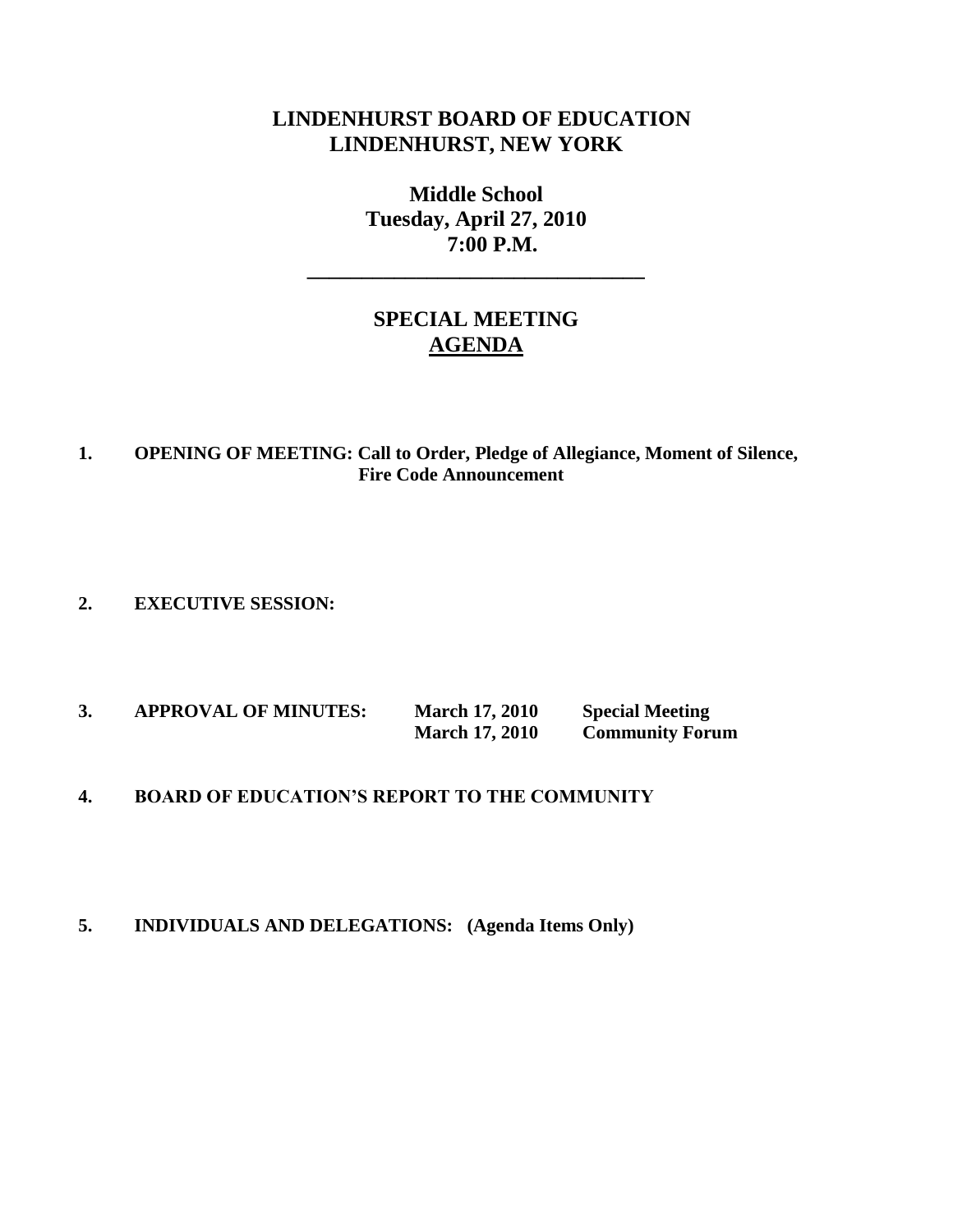# **LINDENHURST BOARD OF EDUCATION LINDENHURST, NEW YORK**

**Middle School Tuesday, April 27, 2010 7:00 P.M.**

**\_\_\_\_\_\_\_\_\_\_\_\_\_\_\_\_\_\_\_\_\_\_\_\_\_\_\_\_\_\_\_**

# **SPECIAL MEETING AGENDA**

#### **1. OPENING OF MEETING: Call to Order, Pledge of Allegiance, Moment of Silence, Fire Code Announcement**

**2. EXECUTIVE SESSION:**

| <b>APPROVAL OF MINUTES:</b> | <b>March 17, 2010</b> | <b>Special Meeting</b> |
|-----------------------------|-----------------------|------------------------|
|                             | <b>March 17, 2010</b> | <b>Community Forum</b> |

### **4. BOARD OF EDUCATION'S REPORT TO THE COMMUNITY**

#### **5. INDIVIDUALS AND DELEGATIONS: (Agenda Items Only)**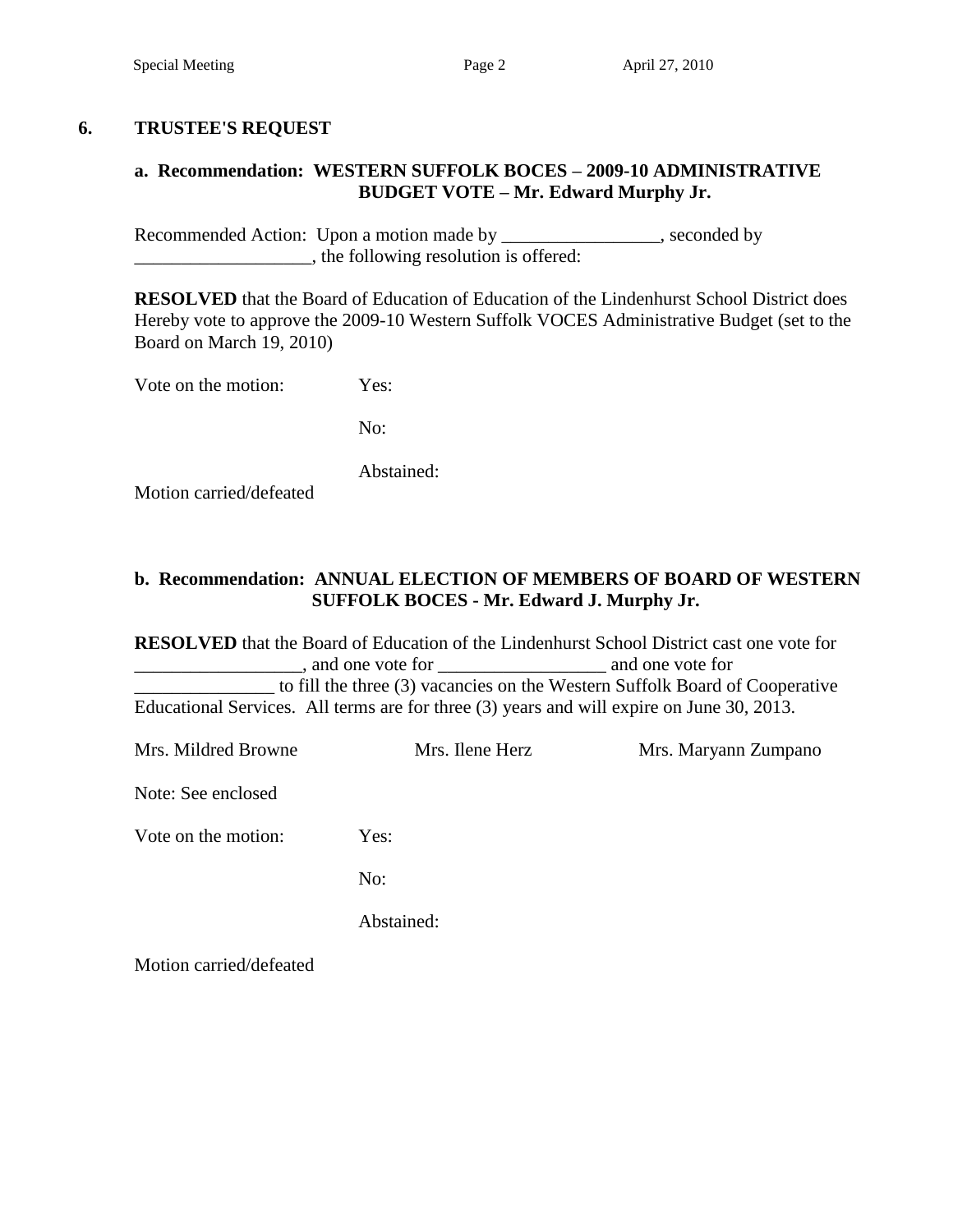### **6. TRUSTEE'S REQUEST**

### **a. Recommendation: WESTERN SUFFOLK BOCES – 2009-10 ADMINISTRATIVE BUDGET VOTE – Mr. Edward Murphy Jr.**

Recommended Action: Upon a motion made by \_\_\_\_\_\_\_\_\_\_\_\_\_\_\_, seconded by  $\Box$ , the following resolution is offered:

**RESOLVED** that the Board of Education of Education of the Lindenhurst School District does Hereby vote to approve the 2009-10 Western Suffolk VOCES Administrative Budget (set to the Board on March 19, 2010)

Vote on the motion: Yes:

No:

Abstained:

Motion carried/defeated

### **b. Recommendation: ANNUAL ELECTION OF MEMBERS OF BOARD OF WESTERN SUFFOLK BOCES - Mr. Edward J. Murphy Jr.**

**RESOLVED** that the Board of Education of the Lindenhurst School District cast one vote for \_\_\_\_\_\_\_\_\_\_\_\_\_\_\_\_\_\_, and one vote for \_\_\_\_\_\_\_\_\_\_\_\_\_\_\_\_\_\_ and one vote for \_\_\_\_\_\_\_\_\_\_\_\_\_\_\_ to fill the three (3) vacancies on the Western Suffolk Board of Cooperative Educational Services. All terms are for three (3) years and will expire on June 30, 2013.

Mrs. Mildred Browne Mrs. Ilene Herz Mrs. Maryann Zumpano Note: See enclosed Vote on the motion: Yes: No: Abstained: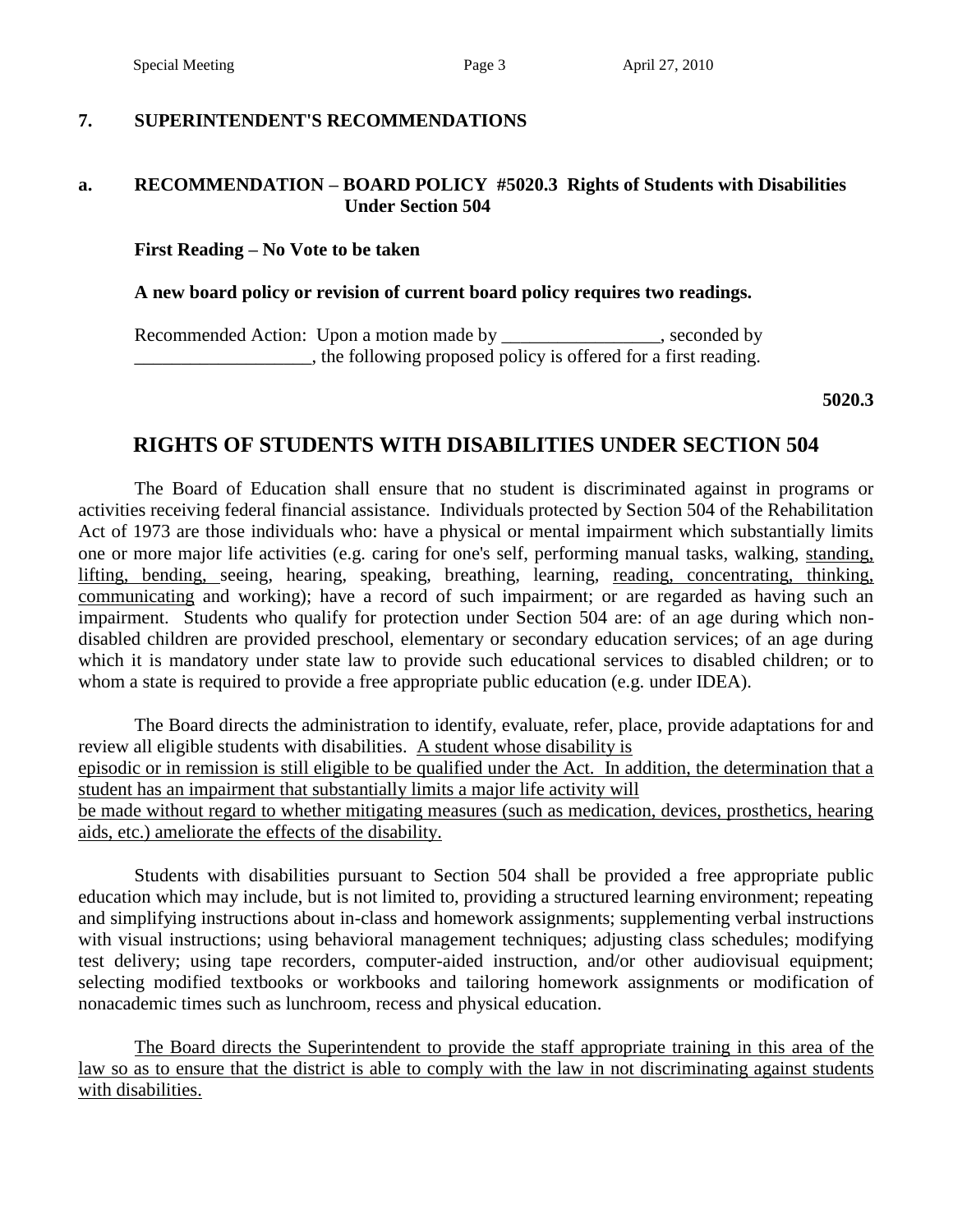Special Meeting Page 3 April 27, 2010

#### **7. SUPERINTENDENT'S RECOMMENDATIONS**

#### **a. RECOMMENDATION – BOARD POLICY #5020.3 Rights of Students with Disabilities Under Section 504**

#### **First Reading – No Vote to be taken**

#### **A new board policy or revision of current board policy requires two readings.**

Recommended Action: Upon a motion made by \_\_\_\_\_\_\_\_\_\_\_\_\_\_\_, seconded by **EXECUTE:** the following proposed policy is offered for a first reading.

**5020.3**

### **RIGHTS OF STUDENTS WITH DISABILITIES UNDER SECTION 504**

The Board of Education shall ensure that no student is discriminated against in programs or activities receiving federal financial assistance. Individuals protected by Section 504 of the Rehabilitation Act of 1973 are those individuals who: have a physical or mental impairment which substantially limits one or more major life activities (e.g. caring for one's self, performing manual tasks, walking, standing, lifting, bending, seeing, hearing, speaking, breathing, learning, reading, concentrating, thinking, communicating and working); have a record of such impairment; or are regarded as having such an impairment. Students who qualify for protection under Section 504 are: of an age during which nondisabled children are provided preschool, elementary or secondary education services; of an age during which it is mandatory under state law to provide such educational services to disabled children; or to whom a state is required to provide a free appropriate public education (e.g. under IDEA).

The Board directs the administration to identify, evaluate, refer, place, provide adaptations for and review all eligible students with disabilities. A student whose disability is episodic or in remission is still eligible to be qualified under the Act. In addition, the determination that a student has an impairment that substantially limits a major life activity will be made without regard to whether mitigating measures (such as medication, devices, prosthetics, hearing

aids, etc.) ameliorate the effects of the disability.

Students with disabilities pursuant to Section 504 shall be provided a free appropriate public education which may include, but is not limited to, providing a structured learning environment; repeating and simplifying instructions about in-class and homework assignments; supplementing verbal instructions with visual instructions; using behavioral management techniques; adjusting class schedules; modifying test delivery; using tape recorders, computer-aided instruction, and/or other audiovisual equipment; selecting modified textbooks or workbooks and tailoring homework assignments or modification of nonacademic times such as lunchroom, recess and physical education.

The Board directs the Superintendent to provide the staff appropriate training in this area of the law so as to ensure that the district is able to comply with the law in not discriminating against students with disabilities.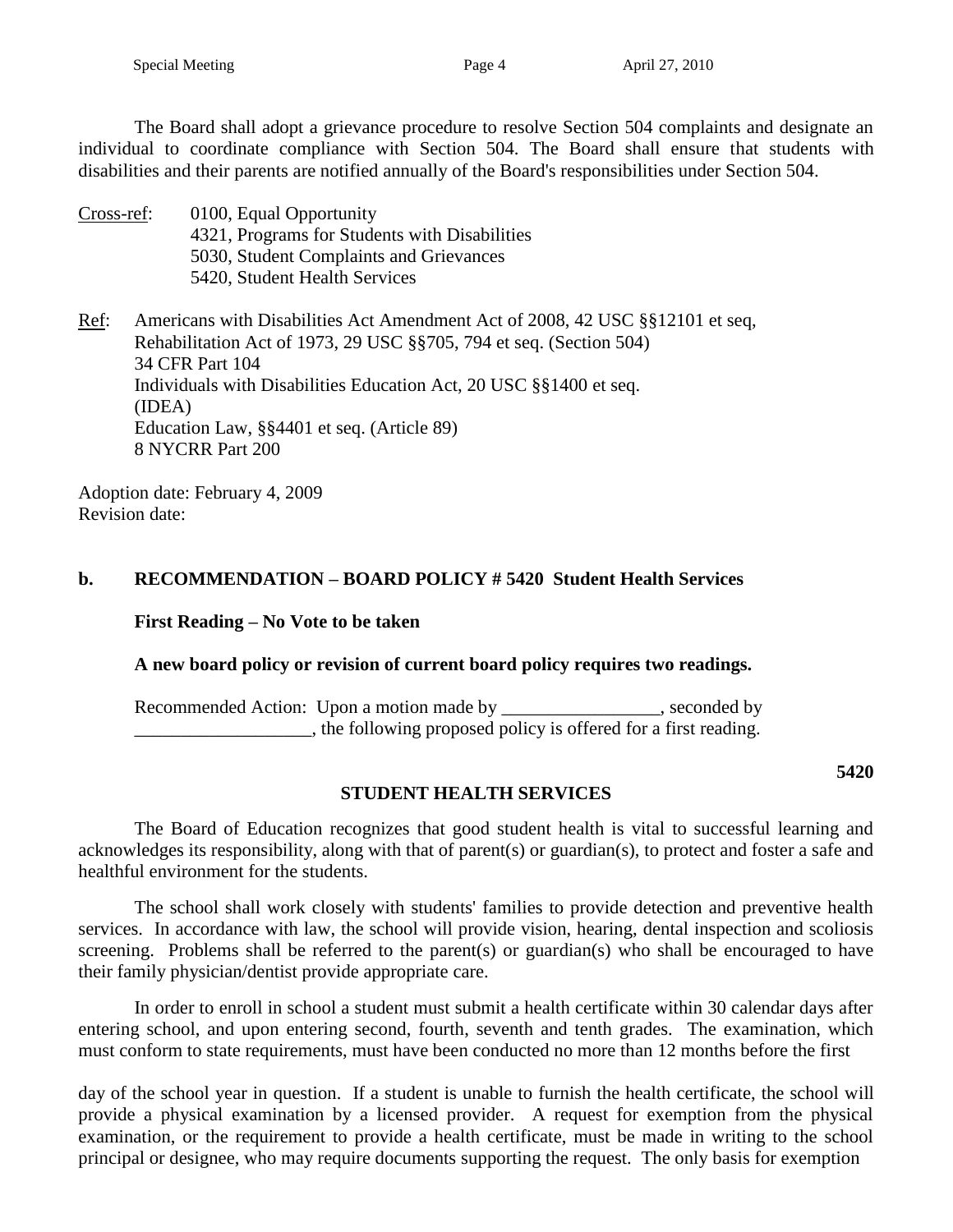The Board shall adopt a grievance procedure to resolve Section 504 complaints and designate an individual to coordinate compliance with Section 504. The Board shall ensure that students with disabilities and their parents are notified annually of the Board's responsibilities under Section 504.

Cross-ref: 0100, Equal Opportunity 4321, Programs for Students with Disabilities 5030, Student Complaints and Grievances 5420, Student Health Services

Ref: Americans with Disabilities Act Amendment Act of 2008, 42 USC §§12101 et seq, Rehabilitation Act of 1973, 29 USC §§705, 794 et seq. (Section 504) 34 CFR Part 104 Individuals with Disabilities Education Act, 20 USC §§1400 et seq. (IDEA) Education Law, §§4401 et seq. (Article 89) 8 NYCRR Part 200

Adoption date: February 4, 2009 Revision date:

### **b. RECOMMENDATION – BOARD POLICY # 5420 Student Health Services**

**First Reading – No Vote to be taken**

### **A new board policy or revision of current board policy requires two readings.**

Recommended Action: Upon a motion made by \_\_\_\_\_\_\_\_\_\_\_\_\_\_\_, seconded by \_\_\_\_\_\_\_\_\_\_\_\_\_\_\_\_\_\_\_, the following proposed policy is offered for a first reading.

**5420**

### **STUDENT HEALTH SERVICES**

The Board of Education recognizes that good student health is vital to successful learning and acknowledges its responsibility, along with that of parent(s) or guardian(s), to protect and foster a safe and healthful environment for the students.

The school shall work closely with students' families to provide detection and preventive health services. In accordance with law, the school will provide vision, hearing, dental inspection and scoliosis screening. Problems shall be referred to the parent(s) or guardian(s) who shall be encouraged to have their family physician/dentist provide appropriate care.

In order to enroll in school a student must submit a health certificate within 30 calendar days after entering school, and upon entering second, fourth, seventh and tenth grades. The examination, which must conform to state requirements, must have been conducted no more than 12 months before the first

day of the school year in question. If a student is unable to furnish the health certificate, the school will provide a physical examination by a licensed provider. A request for exemption from the physical examination, or the requirement to provide a health certificate, must be made in writing to the school principal or designee, who may require documents supporting the request. The only basis for exemption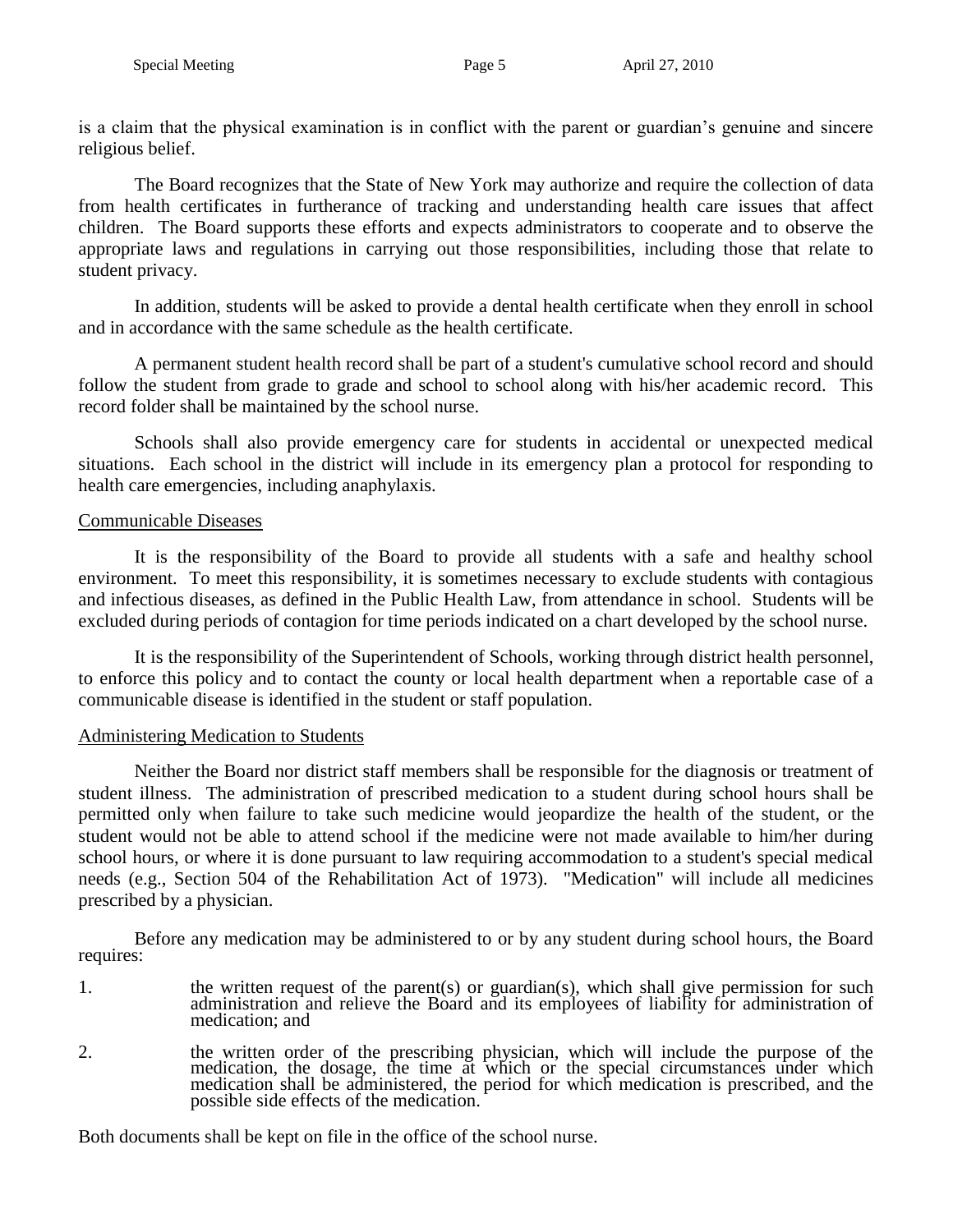is a claim that the physical examination is in conflict with the parent or guardian's genuine and sincere religious belief.

The Board recognizes that the State of New York may authorize and require the collection of data from health certificates in furtherance of tracking and understanding health care issues that affect children. The Board supports these efforts and expects administrators to cooperate and to observe the appropriate laws and regulations in carrying out those responsibilities, including those that relate to student privacy.

In addition, students will be asked to provide a dental health certificate when they enroll in school and in accordance with the same schedule as the health certificate.

A permanent student health record shall be part of a student's cumulative school record and should follow the student from grade to grade and school to school along with his/her academic record. This record folder shall be maintained by the school nurse.

Schools shall also provide emergency care for students in accidental or unexpected medical situations. Each school in the district will include in its emergency plan a protocol for responding to health care emergencies, including anaphylaxis.

### Communicable Diseases

It is the responsibility of the Board to provide all students with a safe and healthy school environment. To meet this responsibility, it is sometimes necessary to exclude students with contagious and infectious diseases, as defined in the Public Health Law, from attendance in school. Students will be excluded during periods of contagion for time periods indicated on a chart developed by the school nurse.

It is the responsibility of the Superintendent of Schools, working through district health personnel, to enforce this policy and to contact the county or local health department when a reportable case of a communicable disease is identified in the student or staff population.

### Administering Medication to Students

Neither the Board nor district staff members shall be responsible for the diagnosis or treatment of student illness. The administration of prescribed medication to a student during school hours shall be permitted only when failure to take such medicine would jeopardize the health of the student, or the student would not be able to attend school if the medicine were not made available to him/her during school hours, or where it is done pursuant to law requiring accommodation to a student's special medical needs (e.g., Section 504 of the Rehabilitation Act of 1973). "Medication" will include all medicines prescribed by a physician.

Before any medication may be administered to or by any student during school hours, the Board requires:

- 1. the written request of the parent(s) or guardian(s), which shall give permission for such administration and relieve the Board and its employees of liability for administration of medication; and
- 2. the written order of the prescribing physician, which will include the purpose of the medication, the dosage, the time at which or the special circumstances under which medication shall be administered, the period for which medication is prescribed, and the possible side effects of the medication.

Both documents shall be kept on file in the office of the school nurse.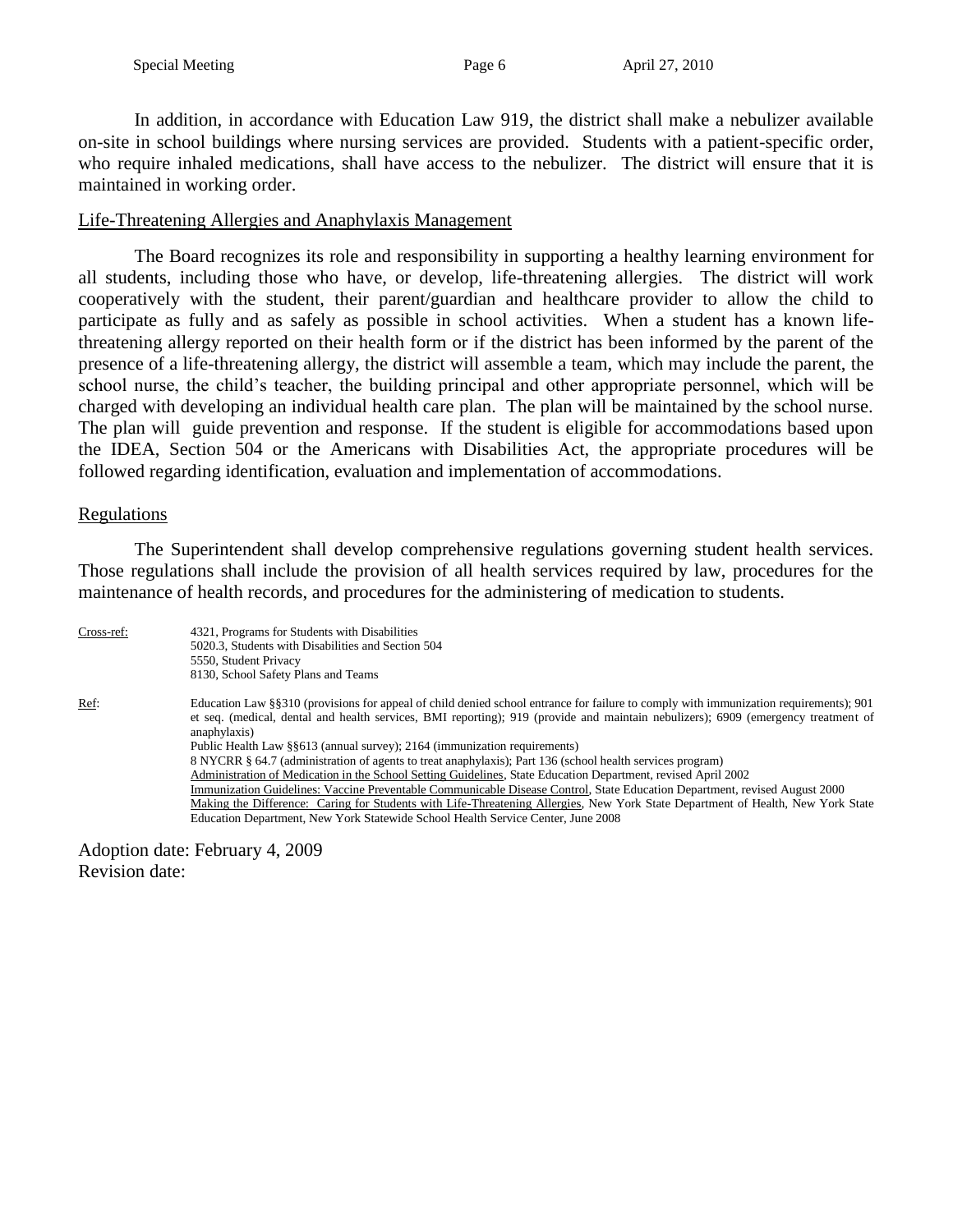In addition, in accordance with Education Law 919, the district shall make a nebulizer available on-site in school buildings where nursing services are provided. Students with a patient-specific order, who require inhaled medications, shall have access to the nebulizer. The district will ensure that it is maintained in working order.

#### Life-Threatening Allergies and Anaphylaxis Management

The Board recognizes its role and responsibility in supporting a healthy learning environment for all students, including those who have, or develop, life-threatening allergies. The district will work cooperatively with the student, their parent/guardian and healthcare provider to allow the child to participate as fully and as safely as possible in school activities. When a student has a known lifethreatening allergy reported on their health form or if the district has been informed by the parent of the presence of a life-threatening allergy, the district will assemble a team, which may include the parent, the school nurse, the child's teacher, the building principal and other appropriate personnel, which will be charged with developing an individual health care plan. The plan will be maintained by the school nurse. The plan will guide prevention and response. If the student is eligible for accommodations based upon the IDEA, Section 504 or the Americans with Disabilities Act, the appropriate procedures will be followed regarding identification, evaluation and implementation of accommodations.

#### **Regulations**

The Superintendent shall develop comprehensive regulations governing student health services. Those regulations shall include the provision of all health services required by law, procedures for the maintenance of health records, and procedures for the administering of medication to students.

| Cross-ref: | 4321, Programs for Students with Disabilities<br>5020.3, Students with Disabilities and Section 504<br>5550, Student Privacy<br>8130, School Safety Plans and Teams                                                                                                                                                                                                                                                                                                                                                                                                                                                                                                                                                                                                                                                                                                                                                                                        |
|------------|------------------------------------------------------------------------------------------------------------------------------------------------------------------------------------------------------------------------------------------------------------------------------------------------------------------------------------------------------------------------------------------------------------------------------------------------------------------------------------------------------------------------------------------------------------------------------------------------------------------------------------------------------------------------------------------------------------------------------------------------------------------------------------------------------------------------------------------------------------------------------------------------------------------------------------------------------------|
| Ref:       | Education Law §§310 (provisions for appeal of child denied school entrance for failure to comply with immunization requirements); 901<br>et seq. (medical, dental and health services, BMI reporting); 919 (provide and maintain nebulizers); 6909 (emergency treatment of<br>anaphylaxis)<br>Public Health Law §§613 (annual survey); 2164 (immunization requirements)<br>8 NYCRR § 64.7 (administration of agents to treat anaphylaxis); Part 136 (school health services program)<br>Administration of Medication in the School Setting Guidelines, State Education Department, revised April 2002<br>Immunization Guidelines: Vaccine Preventable Communicable Disease Control, State Education Department, revised August 2000<br>Making the Difference: Caring for Students with Life-Threatening Allergies, New York State Department of Health, New York State<br>Education Department, New York Statewide School Health Service Center, June 2008 |

Adoption date: February 4, 2009 Revision date: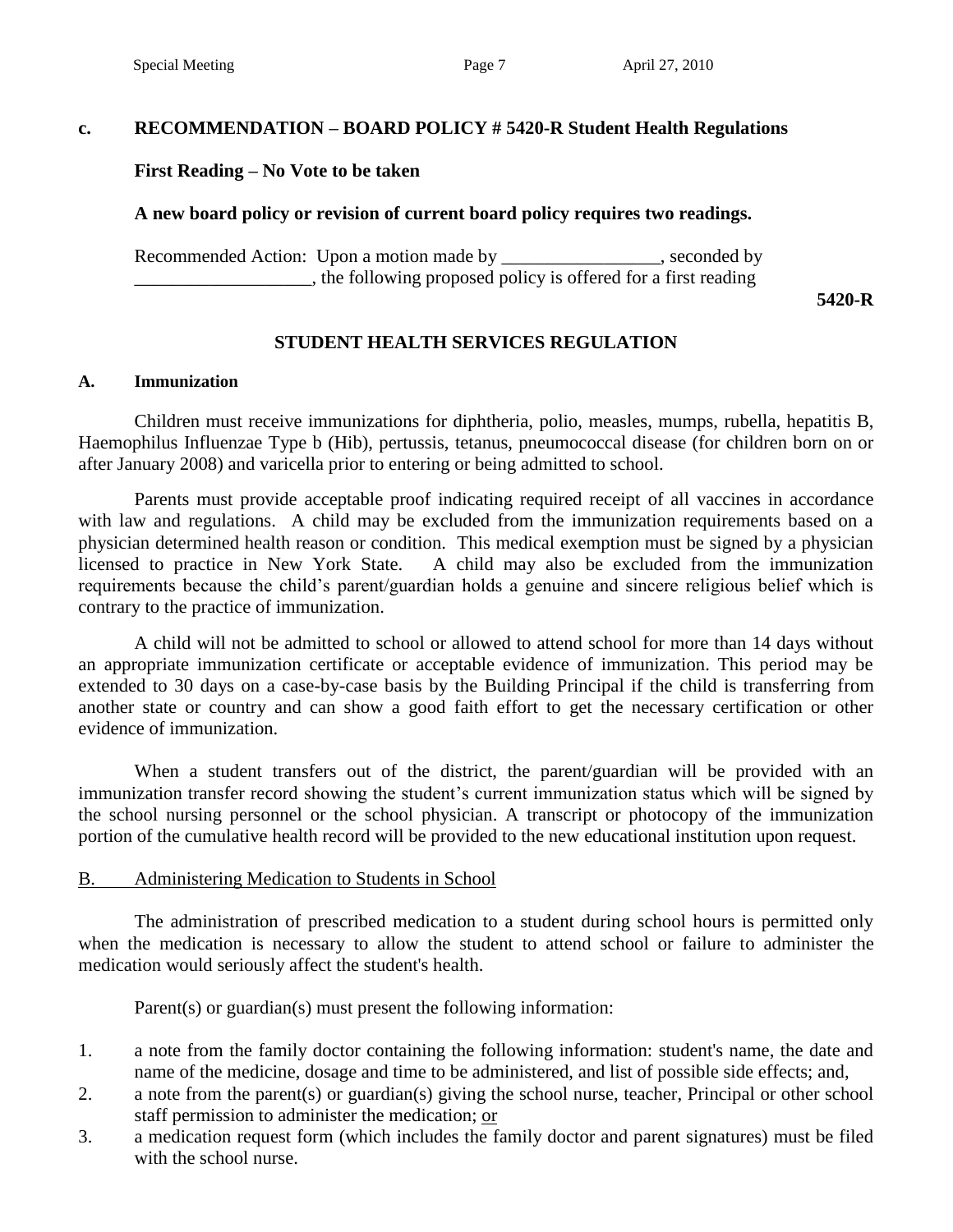# **c. RECOMMENDATION – BOARD POLICY # 5420-R Student Health Regulations**

### **First Reading – No Vote to be taken**

### **A new board policy or revision of current board policy requires two readings.**

Recommended Action: Upon a motion made by \_\_\_\_\_\_\_\_\_\_\_\_\_\_\_, seconded by \_\_\_\_\_\_\_\_\_\_\_\_\_\_\_\_\_\_\_, the following proposed policy is offered for a first reading

**5420-R**

### **STUDENT HEALTH SERVICES REGULATION**

#### **A. Immunization**

Children must receive immunizations for diphtheria, polio, measles, mumps, rubella, hepatitis B, Haemophilus Influenzae Type b (Hib), pertussis, tetanus, pneumococcal disease (for children born on or after January 2008) and varicella prior to entering or being admitted to school.

Parents must provide acceptable proof indicating required receipt of all vaccines in accordance with law and regulations. A child may be excluded from the immunization requirements based on a physician determined health reason or condition. This medical exemption must be signed by a physician licensed to practice in New York State. A child may also be excluded from the immunization requirements because the child's parent/guardian holds a genuine and sincere religious belief which is contrary to the practice of immunization.

A child will not be admitted to school or allowed to attend school for more than 14 days without an appropriate immunization certificate or acceptable evidence of immunization. This period may be extended to 30 days on a case-by-case basis by the Building Principal if the child is transferring from another state or country and can show a good faith effort to get the necessary certification or other evidence of immunization.

When a student transfers out of the district, the parent/guardian will be provided with an immunization transfer record showing the student's current immunization status which will be signed by the school nursing personnel or the school physician. A transcript or photocopy of the immunization portion of the cumulative health record will be provided to the new educational institution upon request.

#### B. Administering Medication to Students in School

The administration of prescribed medication to a student during school hours is permitted only when the medication is necessary to allow the student to attend school or failure to administer the medication would seriously affect the student's health.

Parent(s) or guardian(s) must present the following information:

- 1. a note from the family doctor containing the following information: student's name, the date and name of the medicine, dosage and time to be administered, and list of possible side effects; and,
- 2. a note from the parent(s) or guardian(s) giving the school nurse, teacher, Principal or other school staff permission to administer the medication; or
- 3. a medication request form (which includes the family doctor and parent signatures) must be filed with the school nurse.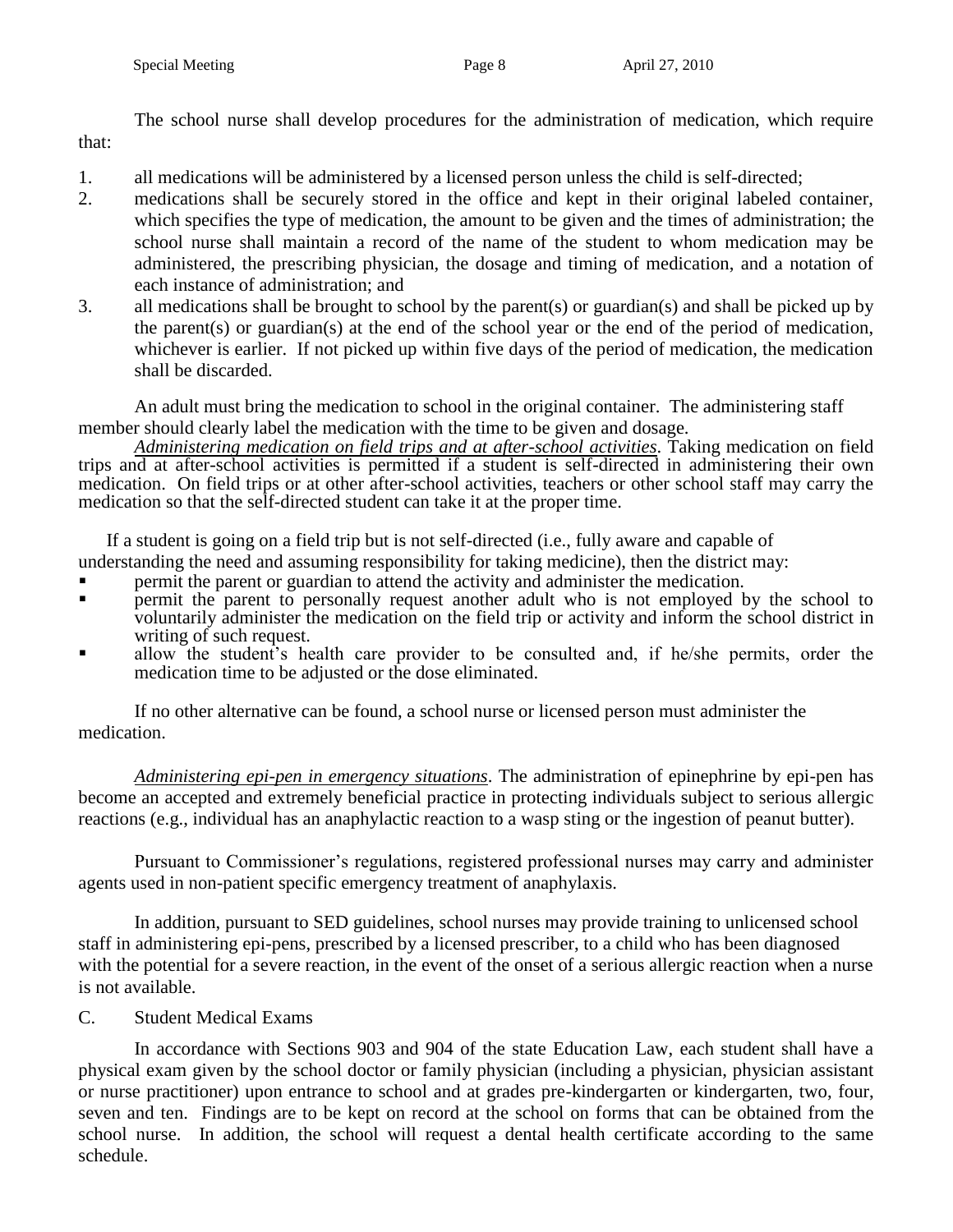The school nurse shall develop procedures for the administration of medication, which require that:

- 1. all medications will be administered by a licensed person unless the child is self-directed;
- 2. medications shall be securely stored in the office and kept in their original labeled container, which specifies the type of medication, the amount to be given and the times of administration; the school nurse shall maintain a record of the name of the student to whom medication may be administered, the prescribing physician, the dosage and timing of medication, and a notation of each instance of administration; and
- 3. all medications shall be brought to school by the parent(s) or guardian(s) and shall be picked up by the parent(s) or guardian(s) at the end of the school year or the end of the period of medication, whichever is earlier. If not picked up within five days of the period of medication, the medication shall be discarded.

An adult must bring the medication to school in the original container. The administering staff member should clearly label the medication with the time to be given and dosage.

*Administering medication on field trips and at after-school activities*. Taking medication on field trips and at after-school activities is permitted if a student is self-directed in administering their own medication. On field trips or at other after-school activities, teachers or other school staff may carry the medication so that the self-directed student can take it at the proper time.

If a student is going on a field trip but is not self-directed (i.e., fully aware and capable of

- understanding the need and assuming responsibility for taking medicine), then the district may:
- permit the parent or guardian to attend the activity and administer the medication.
- permit the parent to personally request another adult who is not employed by the school to voluntarily administer the medication on the field trip or activity and inform the school district in writing of such request.
- allow the student's health care provider to be consulted and, if he/she permits, order the medication time to be adjusted or the dose eliminated.

If no other alternative can be found, a school nurse or licensed person must administer the medication.

*Administering epi-pen in emergency situations*. The administration of epinephrine by epi-pen has become an accepted and extremely beneficial practice in protecting individuals subject to serious allergic reactions (e.g., individual has an anaphylactic reaction to a wasp sting or the ingestion of peanut butter).

Pursuant to Commissioner's regulations, registered professional nurses may carry and administer agents used in non-patient specific emergency treatment of anaphylaxis.

In addition, pursuant to SED guidelines, school nurses may provide training to unlicensed school staff in administering epi-pens, prescribed by a licensed prescriber, to a child who has been diagnosed with the potential for a severe reaction, in the event of the onset of a serious allergic reaction when a nurse is not available.

# C. Student Medical Exams

In accordance with Sections 903 and 904 of the state Education Law, each student shall have a physical exam given by the school doctor or family physician (including a physician, physician assistant or nurse practitioner) upon entrance to school and at grades pre-kindergarten or kindergarten, two, four, seven and ten. Findings are to be kept on record at the school on forms that can be obtained from the school nurse. In addition, the school will request a dental health certificate according to the same schedule.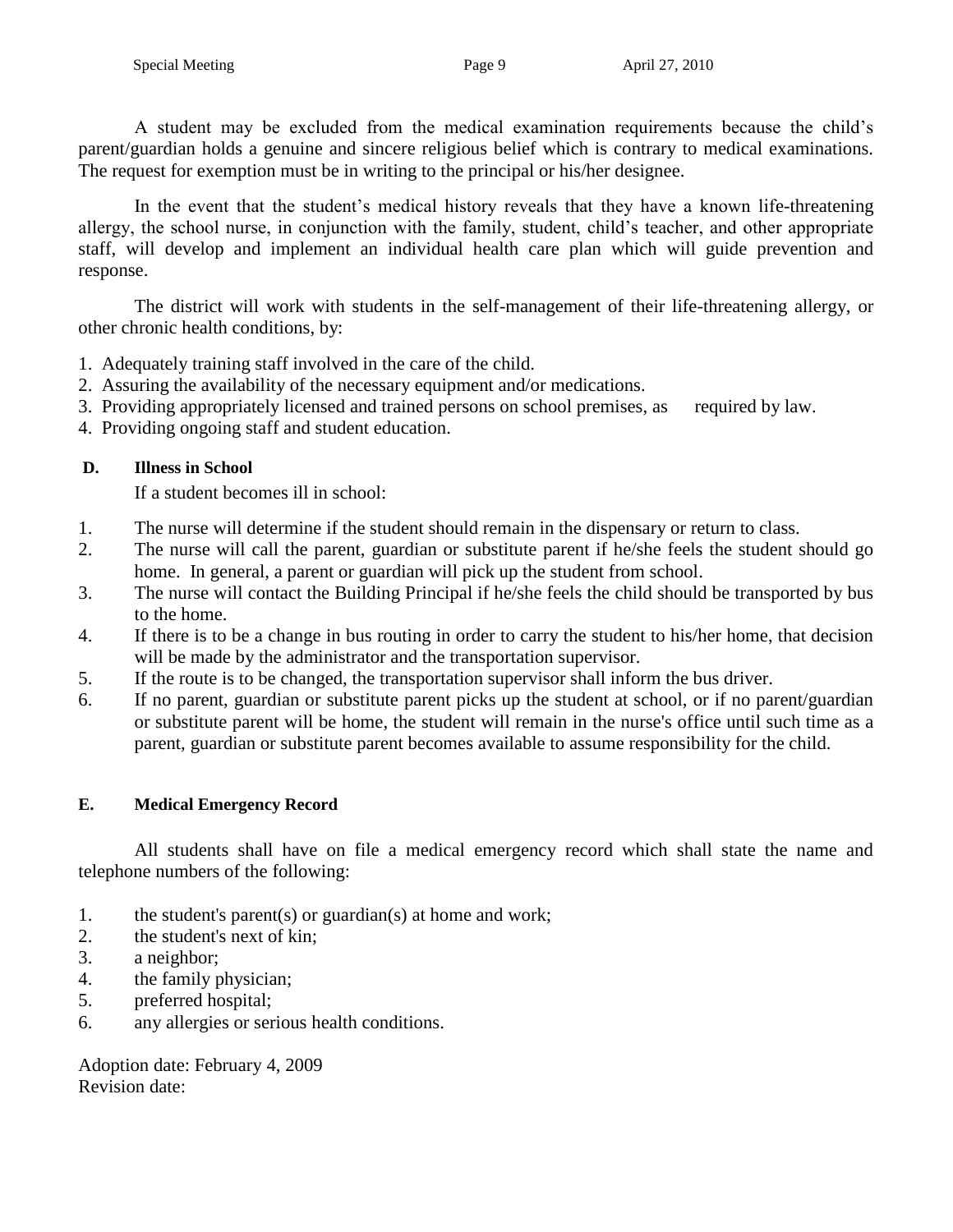A student may be excluded from the medical examination requirements because the child's parent/guardian holds a genuine and sincere religious belief which is contrary to medical examinations. The request for exemption must be in writing to the principal or his/her designee.

In the event that the student's medical history reveals that they have a known life-threatening allergy, the school nurse, in conjunction with the family, student, child's teacher, and other appropriate staff, will develop and implement an individual health care plan which will guide prevention and response.

The district will work with students in the self-management of their life-threatening allergy, or other chronic health conditions, by:

- 1. Adequately training staff involved in the care of the child.
- 2. Assuring the availability of the necessary equipment and/or medications.
- 3. Providing appropriately licensed and trained persons on school premises, as required by law.
- 4. Providing ongoing staff and student education.

### **D. Illness in School**

If a student becomes ill in school:

- 1. The nurse will determine if the student should remain in the dispensary or return to class.
- 2. The nurse will call the parent, guardian or substitute parent if he/she feels the student should go home. In general, a parent or guardian will pick up the student from school.
- 3. The nurse will contact the Building Principal if he/she feels the child should be transported by bus to the home.
- 4. If there is to be a change in bus routing in order to carry the student to his/her home, that decision will be made by the administrator and the transportation supervisor.
- 5. If the route is to be changed, the transportation supervisor shall inform the bus driver.
- 6. If no parent, guardian or substitute parent picks up the student at school, or if no parent/guardian or substitute parent will be home, the student will remain in the nurse's office until such time as a parent, guardian or substitute parent becomes available to assume responsibility for the child.

### **E. Medical Emergency Record**

All students shall have on file a medical emergency record which shall state the name and telephone numbers of the following:

- 1. the student's parent(s) or guardian(s) at home and work;
- 2. the student's next of kin;
- 3. a neighbor;
- 4. the family physician;
- 5. preferred hospital;
- 6. any allergies or serious health conditions.

Adoption date: February 4, 2009 Revision date: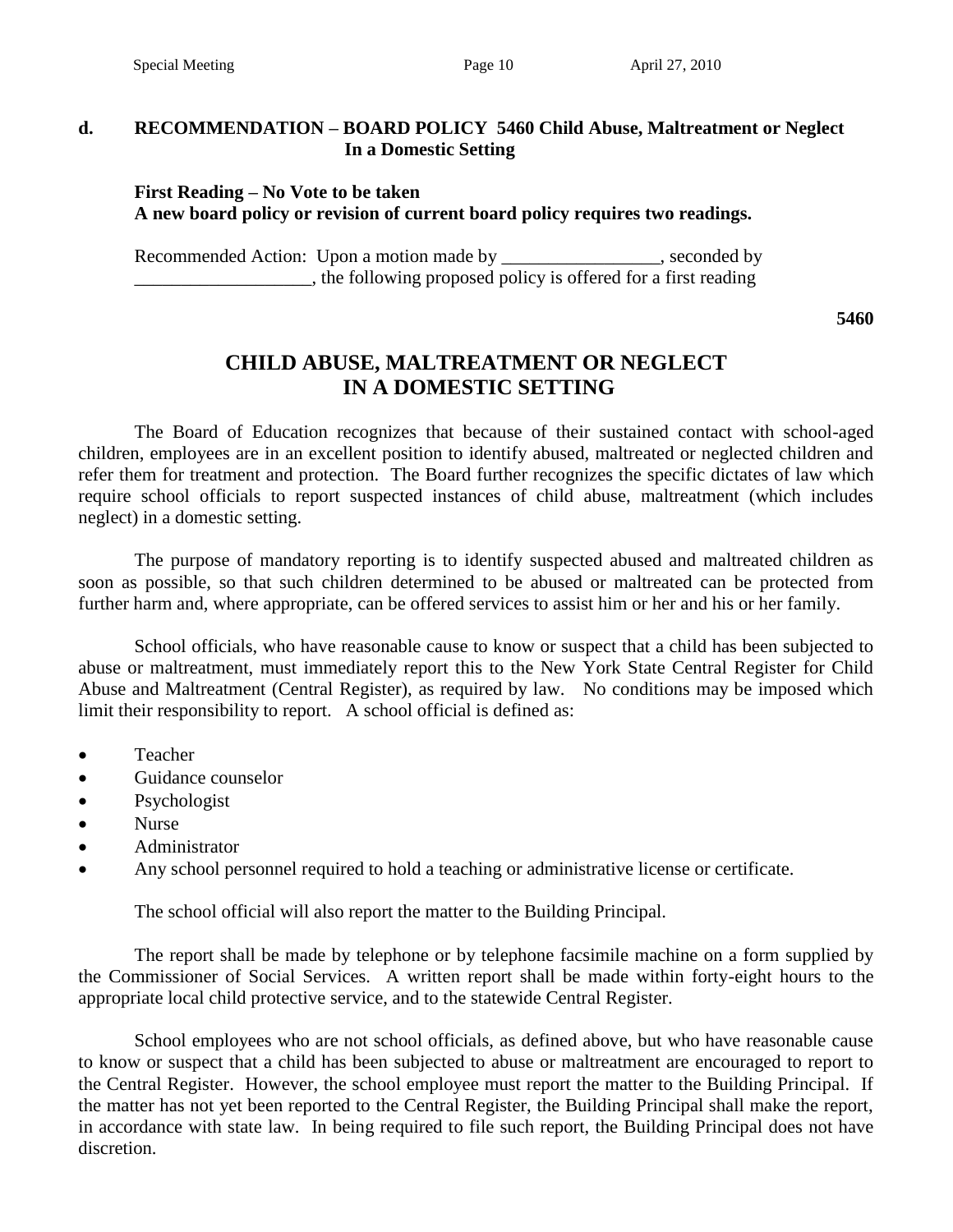#### **d. RECOMMENDATION – BOARD POLICY 5460 Child Abuse, Maltreatment or Neglect In a Domestic Setting**

### **First Reading – No Vote to be taken A new board policy or revision of current board policy requires two readings.**

Recommended Action: Upon a motion made by \_\_\_\_\_\_\_\_\_\_\_\_\_\_\_, seconded by \_\_\_\_\_\_\_\_\_\_\_\_\_\_\_\_\_\_\_, the following proposed policy is offered for a first reading

**5460**

# **CHILD ABUSE, MALTREATMENT OR NEGLECT IN A DOMESTIC SETTING**

The Board of Education recognizes that because of their sustained contact with school-aged children, employees are in an excellent position to identify abused, maltreated or neglected children and refer them for treatment and protection. The Board further recognizes the specific dictates of law which require school officials to report suspected instances of child abuse, maltreatment (which includes neglect) in a domestic setting.

The purpose of mandatory reporting is to identify suspected abused and maltreated children as soon as possible, so that such children determined to be abused or maltreated can be protected from further harm and, where appropriate, can be offered services to assist him or her and his or her family.

School officials, who have reasonable cause to know or suspect that a child has been subjected to abuse or maltreatment, must immediately report this to the New York State Central Register for Child Abuse and Maltreatment (Central Register), as required by law. No conditions may be imposed which limit their responsibility to report. A school official is defined as:

- Teacher
- Guidance counselor
- Psychologist
- Nurse
- Administrator
- Any school personnel required to hold a teaching or administrative license or certificate.

The school official will also report the matter to the Building Principal.

The report shall be made by telephone or by telephone facsimile machine on a form supplied by the Commissioner of Social Services. A written report shall be made within forty-eight hours to the appropriate local child protective service, and to the statewide Central Register.

School employees who are not school officials, as defined above, but who have reasonable cause to know or suspect that a child has been subjected to abuse or maltreatment are encouraged to report to the Central Register. However, the school employee must report the matter to the Building Principal. If the matter has not yet been reported to the Central Register, the Building Principal shall make the report, in accordance with state law. In being required to file such report, the Building Principal does not have discretion.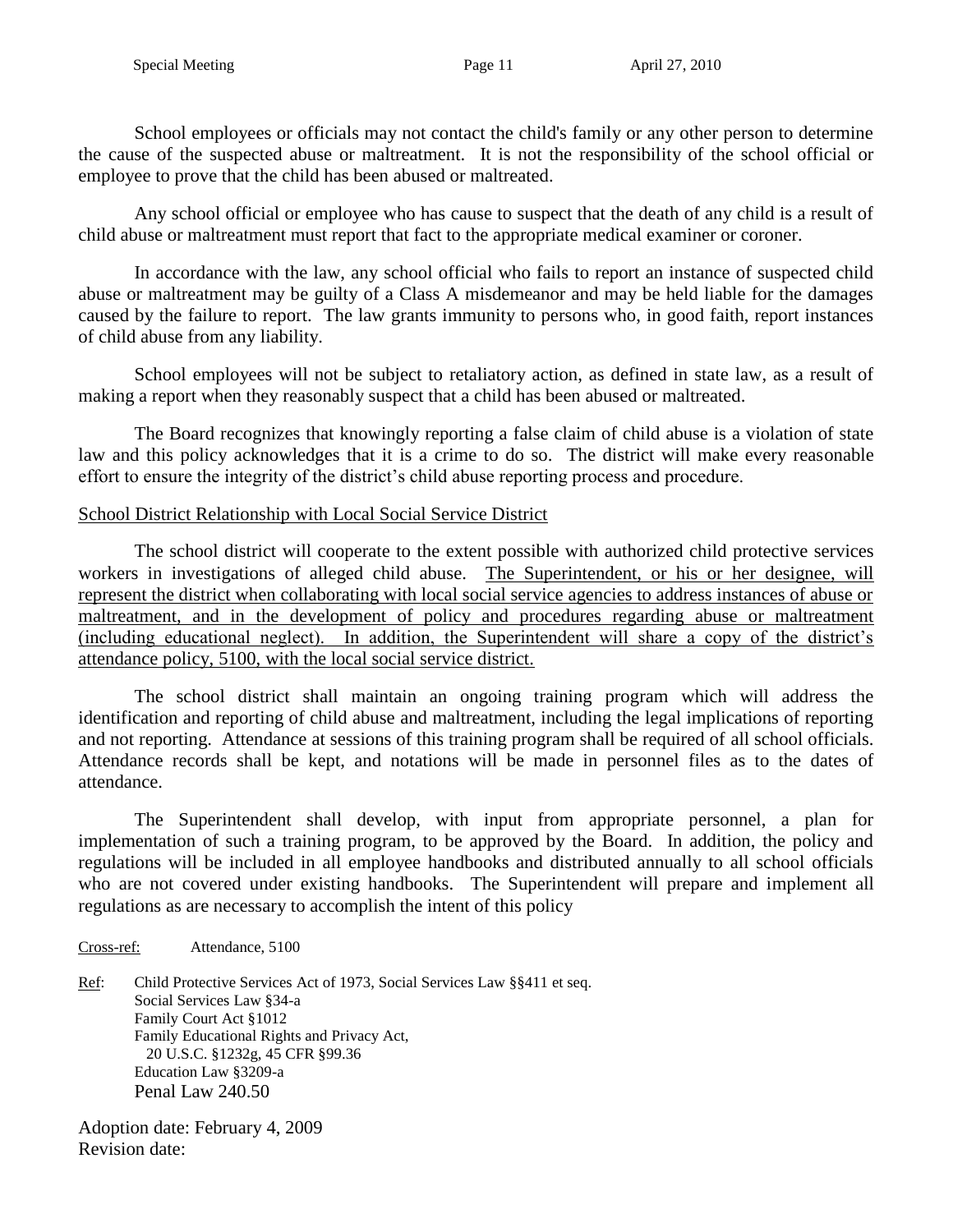School employees or officials may not contact the child's family or any other person to determine the cause of the suspected abuse or maltreatment. It is not the responsibility of the school official or employee to prove that the child has been abused or maltreated.

Any school official or employee who has cause to suspect that the death of any child is a result of child abuse or maltreatment must report that fact to the appropriate medical examiner or coroner.

In accordance with the law, any school official who fails to report an instance of suspected child abuse or maltreatment may be guilty of a Class A misdemeanor and may be held liable for the damages caused by the failure to report. The law grants immunity to persons who, in good faith, report instances of child abuse from any liability.

School employees will not be subject to retaliatory action, as defined in state law, as a result of making a report when they reasonably suspect that a child has been abused or maltreated.

The Board recognizes that knowingly reporting a false claim of child abuse is a violation of state law and this policy acknowledges that it is a crime to do so. The district will make every reasonable effort to ensure the integrity of the district's child abuse reporting process and procedure.

### School District Relationship with Local Social Service District

The school district will cooperate to the extent possible with authorized child protective services workers in investigations of alleged child abuse. The Superintendent, or his or her designee, will represent the district when collaborating with local social service agencies to address instances of abuse or maltreatment, and in the development of policy and procedures regarding abuse or maltreatment (including educational neglect). In addition, the Superintendent will share a copy of the district's attendance policy, 5100, with the local social service district.

The school district shall maintain an ongoing training program which will address the identification and reporting of child abuse and maltreatment, including the legal implications of reporting and not reporting. Attendance at sessions of this training program shall be required of all school officials. Attendance records shall be kept, and notations will be made in personnel files as to the dates of attendance.

The Superintendent shall develop, with input from appropriate personnel, a plan for implementation of such a training program, to be approved by the Board. In addition, the policy and regulations will be included in all employee handbooks and distributed annually to all school officials who are not covered under existing handbooks. The Superintendent will prepare and implement all regulations as are necessary to accomplish the intent of this policy

#### Cross-ref: Attendance, 5100

Ref: Child Protective Services Act of 1973, Social Services Law §§411 et seq. Social Services Law §34-a Family Court Act §1012 Family Educational Rights and Privacy Act, 20 U.S.C. §1232g, 45 CFR §99.36 Education Law §3209-a Penal Law 240.50

Adoption date: February 4, 2009 Revision date: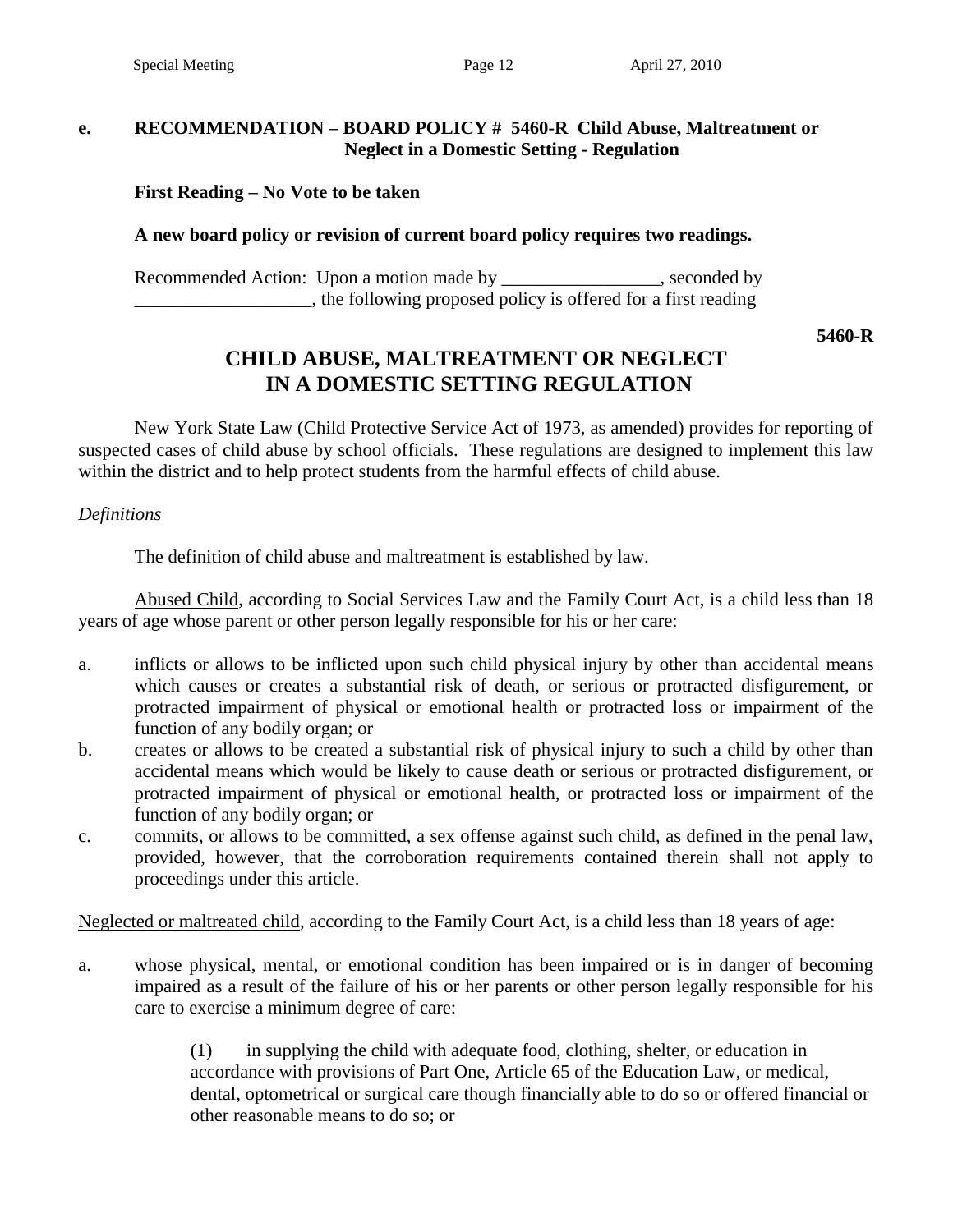#### **e. RECOMMENDATION – BOARD POLICY # 5460-R Child Abuse, Maltreatment or Neglect in a Domestic Setting - Regulation**

### **First Reading – No Vote to be taken**

#### **A new board policy or revision of current board policy requires two readings.**

Recommended Action: Upon a motion made by seconded by seconded by \_\_\_\_\_\_\_\_\_\_\_\_\_\_\_\_\_\_\_, the following proposed policy is offered for a first reading

**5460-R**

# **CHILD ABUSE, MALTREATMENT OR NEGLECT IN A DOMESTIC SETTING REGULATION**

New York State Law (Child Protective Service Act of 1973, as amended) provides for reporting of suspected cases of child abuse by school officials. These regulations are designed to implement this law within the district and to help protect students from the harmful effects of child abuse.

*Definitions*

The definition of child abuse and maltreatment is established by law.

Abused Child, according to Social Services Law and the Family Court Act, is a child less than 18 years of age whose parent or other person legally responsible for his or her care:

- a. inflicts or allows to be inflicted upon such child physical injury by other than accidental means which causes or creates a substantial risk of death, or serious or protracted disfigurement, or protracted impairment of physical or emotional health or protracted loss or impairment of the function of any bodily organ; or
- b. creates or allows to be created a substantial risk of physical injury to such a child by other than accidental means which would be likely to cause death or serious or protracted disfigurement, or protracted impairment of physical or emotional health, or protracted loss or impairment of the function of any bodily organ; or
- c. commits, or allows to be committed, a sex offense against such child, as defined in the penal law, provided, however, that the corroboration requirements contained therein shall not apply to proceedings under this article.

Neglected or maltreated child, according to the Family Court Act, is a child less than 18 years of age:

a. whose physical, mental, or emotional condition has been impaired or is in danger of becoming impaired as a result of the failure of his or her parents or other person legally responsible for his care to exercise a minimum degree of care:

> (1) in supplying the child with adequate food, clothing, shelter, or education in accordance with provisions of Part One, Article 65 of the Education Law, or medical, dental, optometrical or surgical care though financially able to do so or offered financial or other reasonable means to do so; or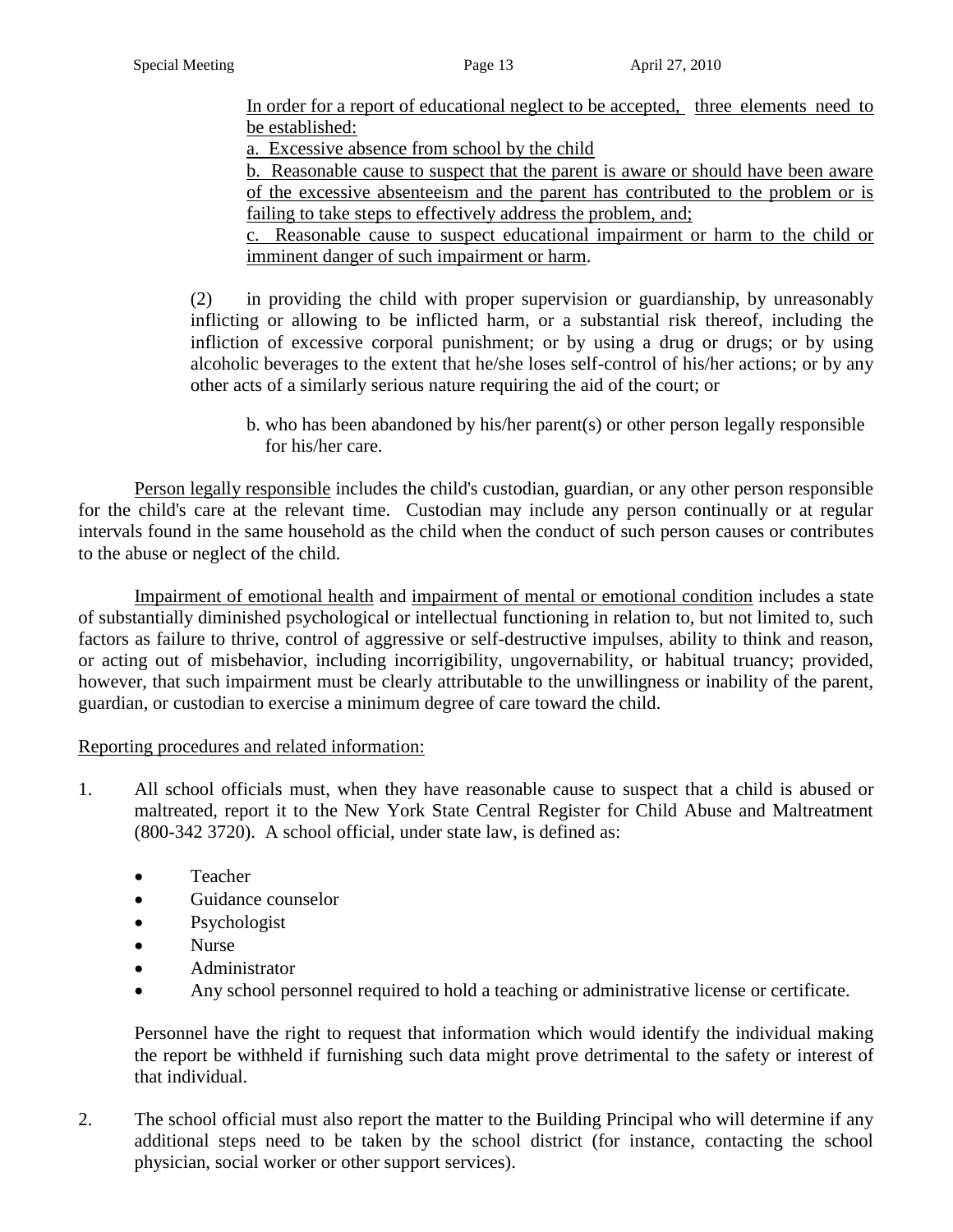In order for a report of educational neglect to be accepted, three elements need to be established:

a. Excessive absence from school by the child

b. Reasonable cause to suspect that the parent is aware or should have been aware of the excessive absenteeism and the parent has contributed to the problem or is failing to take steps to effectively address the problem, and;

c. Reasonable cause to suspect educational impairment or harm to the child or imminent danger of such impairment or harm.

(2) in providing the child with proper supervision or guardianship, by unreasonably inflicting or allowing to be inflicted harm, or a substantial risk thereof, including the infliction of excessive corporal punishment; or by using a drug or drugs; or by using alcoholic beverages to the extent that he/she loses self-control of his/her actions; or by any other acts of a similarly serious nature requiring the aid of the court; or

b. who has been abandoned by his/her parent(s) or other person legally responsible for his/her care.

Person legally responsible includes the child's custodian, guardian, or any other person responsible for the child's care at the relevant time. Custodian may include any person continually or at regular intervals found in the same household as the child when the conduct of such person causes or contributes to the abuse or neglect of the child.

Impairment of emotional health and impairment of mental or emotional condition includes a state of substantially diminished psychological or intellectual functioning in relation to, but not limited to, such factors as failure to thrive, control of aggressive or self-destructive impulses, ability to think and reason, or acting out of misbehavior, including incorrigibility, ungovernability, or habitual truancy; provided, however, that such impairment must be clearly attributable to the unwillingness or inability of the parent, guardian, or custodian to exercise a minimum degree of care toward the child.

### Reporting procedures and related information:

- 1. All school officials must, when they have reasonable cause to suspect that a child is abused or maltreated, report it to the New York State Central Register for Child Abuse and Maltreatment (800-342 3720). A school official, under state law, is defined as:
	- Teacher
	- Guidance counselor
	- Psychologist
	- Nurse
	- Administrator
	- Any school personnel required to hold a teaching or administrative license or certificate.

Personnel have the right to request that information which would identify the individual making the report be withheld if furnishing such data might prove detrimental to the safety or interest of that individual.

2. The school official must also report the matter to the Building Principal who will determine if any additional steps need to be taken by the school district (for instance, contacting the school physician, social worker or other support services).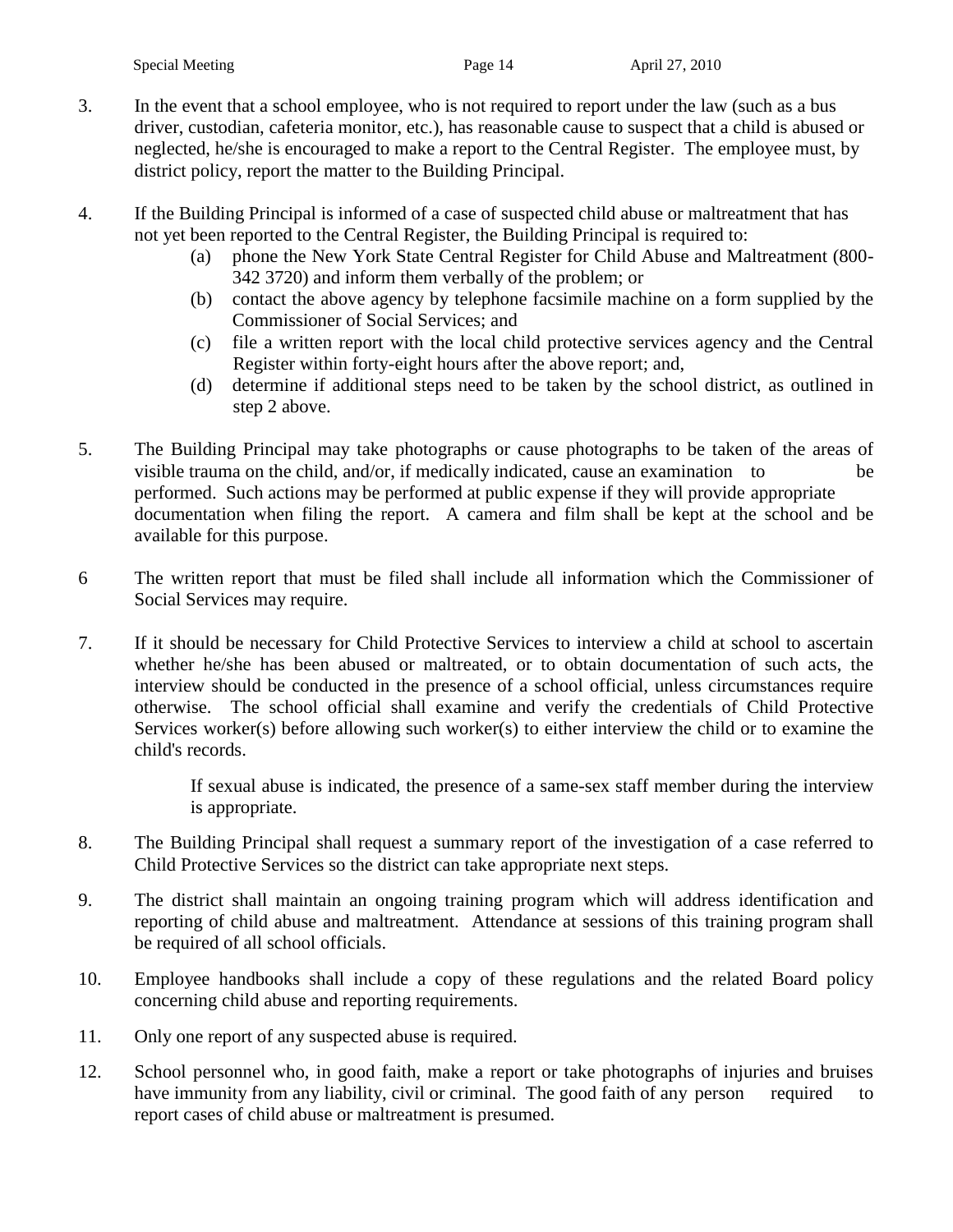- 3. In the event that a school employee, who is not required to report under the law (such as a bus driver, custodian, cafeteria monitor, etc.), has reasonable cause to suspect that a child is abused or neglected, he/she is encouraged to make a report to the Central Register. The employee must, by district policy, report the matter to the Building Principal.
- 4. If the Building Principal is informed of a case of suspected child abuse or maltreatment that has not yet been reported to the Central Register, the Building Principal is required to:
	- (a) phone the New York State Central Register for Child Abuse and Maltreatment (800- 342 3720) and inform them verbally of the problem; or
	- (b) contact the above agency by telephone facsimile machine on a form supplied by the Commissioner of Social Services; and
	- (c) file a written report with the local child protective services agency and the Central Register within forty-eight hours after the above report; and,
	- (d) determine if additional steps need to be taken by the school district, as outlined in step 2 above.
- 5. The Building Principal may take photographs or cause photographs to be taken of the areas of visible trauma on the child, and/or, if medically indicated, cause an examination to be performed. Such actions may be performed at public expense if they will provide appropriate documentation when filing the report. A camera and film shall be kept at the school and be available for this purpose.
- 6 The written report that must be filed shall include all information which the Commissioner of Social Services may require.
- 7. If it should be necessary for Child Protective Services to interview a child at school to ascertain whether he/she has been abused or maltreated, or to obtain documentation of such acts, the interview should be conducted in the presence of a school official, unless circumstances require otherwise. The school official shall examine and verify the credentials of Child Protective Services worker(s) before allowing such worker(s) to either interview the child or to examine the child's records.

If sexual abuse is indicated, the presence of a same-sex staff member during the interview is appropriate.

- 8. The Building Principal shall request a summary report of the investigation of a case referred to Child Protective Services so the district can take appropriate next steps.
- 9. The district shall maintain an ongoing training program which will address identification and reporting of child abuse and maltreatment. Attendance at sessions of this training program shall be required of all school officials.
- 10. Employee handbooks shall include a copy of these regulations and the related Board policy concerning child abuse and reporting requirements.
- 11. Only one report of any suspected abuse is required.
- 12. School personnel who, in good faith, make a report or take photographs of injuries and bruises have immunity from any liability, civil or criminal. The good faith of any person required to report cases of child abuse or maltreatment is presumed.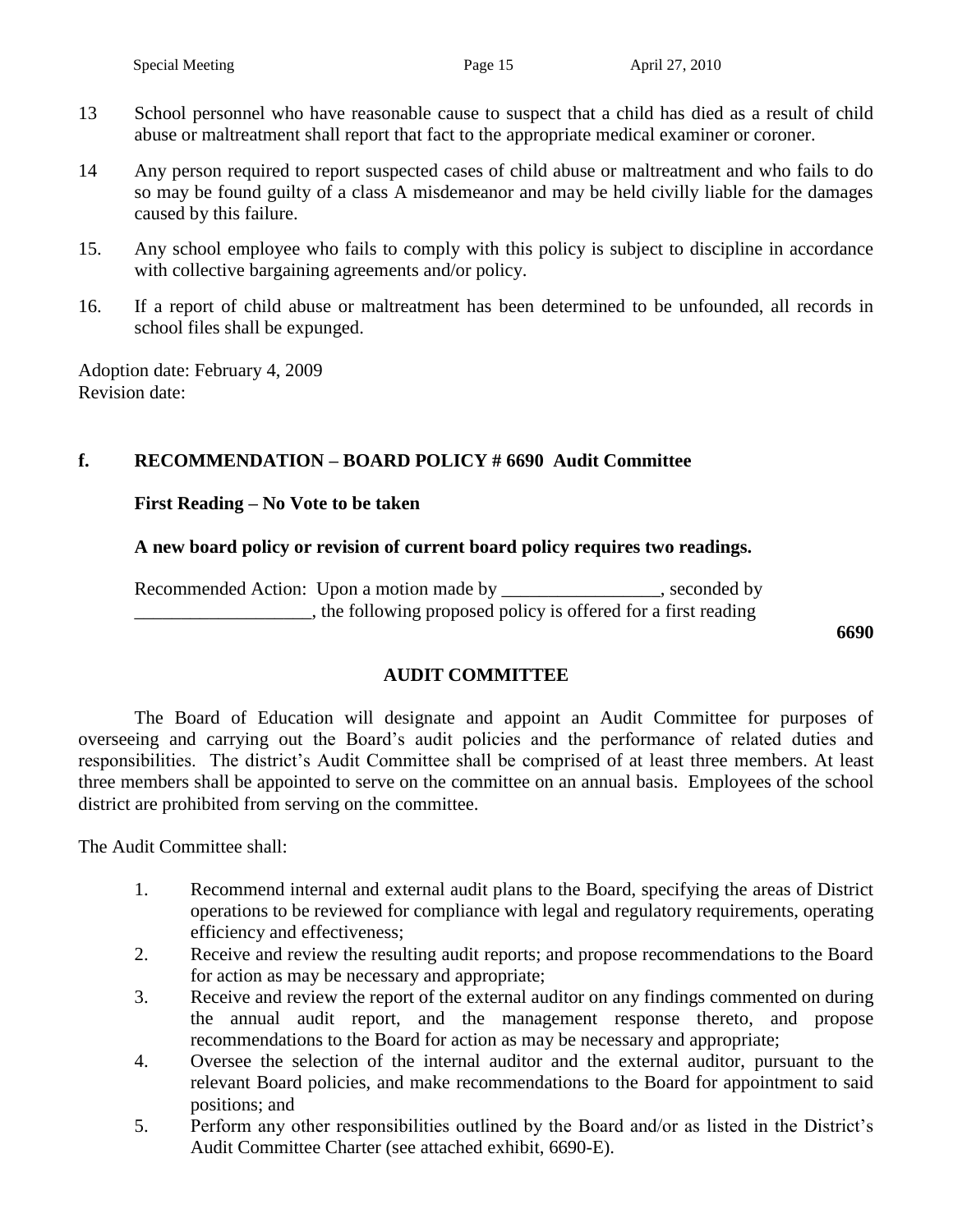- 13 School personnel who have reasonable cause to suspect that a child has died as a result of child abuse or maltreatment shall report that fact to the appropriate medical examiner or coroner.
- 14 Any person required to report suspected cases of child abuse or maltreatment and who fails to do so may be found guilty of a class A misdemeanor and may be held civilly liable for the damages caused by this failure.
- 15. Any school employee who fails to comply with this policy is subject to discipline in accordance with collective bargaining agreements and/or policy.
- 16. If a report of child abuse or maltreatment has been determined to be unfounded, all records in school files shall be expunged.

Adoption date: February 4, 2009 Revision date:

### **f. RECOMMENDATION – BOARD POLICY # 6690 Audit Committee**

### **First Reading – No Vote to be taken**

#### **A new board policy or revision of current board policy requires two readings.**

Recommended Action: Upon a motion made by \_\_\_\_\_\_\_\_\_\_\_\_\_\_\_, seconded by \_\_\_\_\_\_\_\_\_\_\_\_\_\_\_\_\_\_\_, the following proposed policy is offered for a first reading

**6690**

### **AUDIT COMMITTEE**

The Board of Education will designate and appoint an Audit Committee for purposes of overseeing and carrying out the Board's audit policies and the performance of related duties and responsibilities. The district's Audit Committee shall be comprised of at least three members. At least three members shall be appointed to serve on the committee on an annual basis. Employees of the school district are prohibited from serving on the committee.

The Audit Committee shall:

- 1. Recommend internal and external audit plans to the Board, specifying the areas of District operations to be reviewed for compliance with legal and regulatory requirements, operating efficiency and effectiveness;
- 2. Receive and review the resulting audit reports; and propose recommendations to the Board for action as may be necessary and appropriate;
- 3. Receive and review the report of the external auditor on any findings commented on during the annual audit report, and the management response thereto, and propose recommendations to the Board for action as may be necessary and appropriate;
- 4. Oversee the selection of the internal auditor and the external auditor, pursuant to the relevant Board policies, and make recommendations to the Board for appointment to said positions; and
- 5. Perform any other responsibilities outlined by the Board and/or as listed in the District's Audit Committee Charter (see attached exhibit, 6690-E).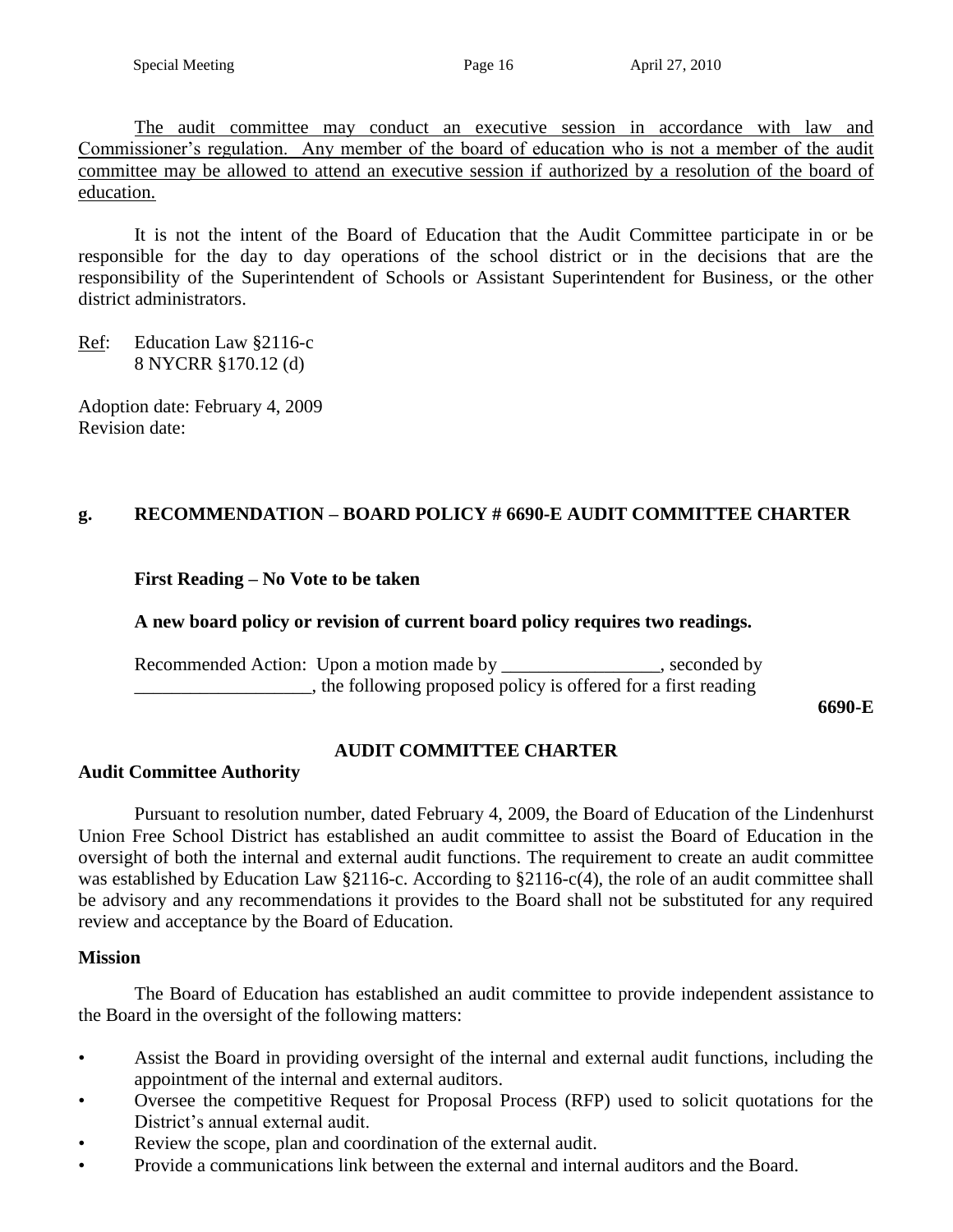The audit committee may conduct an executive session in accordance with law and Commissioner's regulation. Any member of the board of education who is not a member of the audit committee may be allowed to attend an executive session if authorized by a resolution of the board of education.

It is not the intent of the Board of Education that the Audit Committee participate in or be responsible for the day to day operations of the school district or in the decisions that are the responsibility of the Superintendent of Schools or Assistant Superintendent for Business, or the other district administrators.

Ref: Education Law §2116-c 8 NYCRR §170.12 (d)

Adoption date: February 4, 2009 Revision date:

### **g. RECOMMENDATION – BOARD POLICY # 6690-E AUDIT COMMITTEE CHARTER**

### **First Reading – No Vote to be taken**

### **A new board policy or revision of current board policy requires two readings.**

Recommended Action: Upon a motion made by \_\_\_\_\_\_\_\_\_\_\_\_\_\_\_, seconded by \_\_\_\_\_\_\_\_\_\_\_\_\_\_\_\_\_\_\_, the following proposed policy is offered for a first reading

**6690-E**

### **AUDIT COMMITTEE CHARTER**

### **Audit Committee Authority**

Pursuant to resolution number, dated February 4, 2009, the Board of Education of the Lindenhurst Union Free School District has established an audit committee to assist the Board of Education in the oversight of both the internal and external audit functions. The requirement to create an audit committee was established by Education Law §2116-c. According to §2116-c(4), the role of an audit committee shall be advisory and any recommendations it provides to the Board shall not be substituted for any required review and acceptance by the Board of Education.

#### **Mission**

The Board of Education has established an audit committee to provide independent assistance to the Board in the oversight of the following matters:

- Assist the Board in providing oversight of the internal and external audit functions, including the appointment of the internal and external auditors.
- Oversee the competitive Request for Proposal Process (RFP) used to solicit quotations for the District's annual external audit.
- Review the scope, plan and coordination of the external audit.
- Provide a communications link between the external and internal auditors and the Board.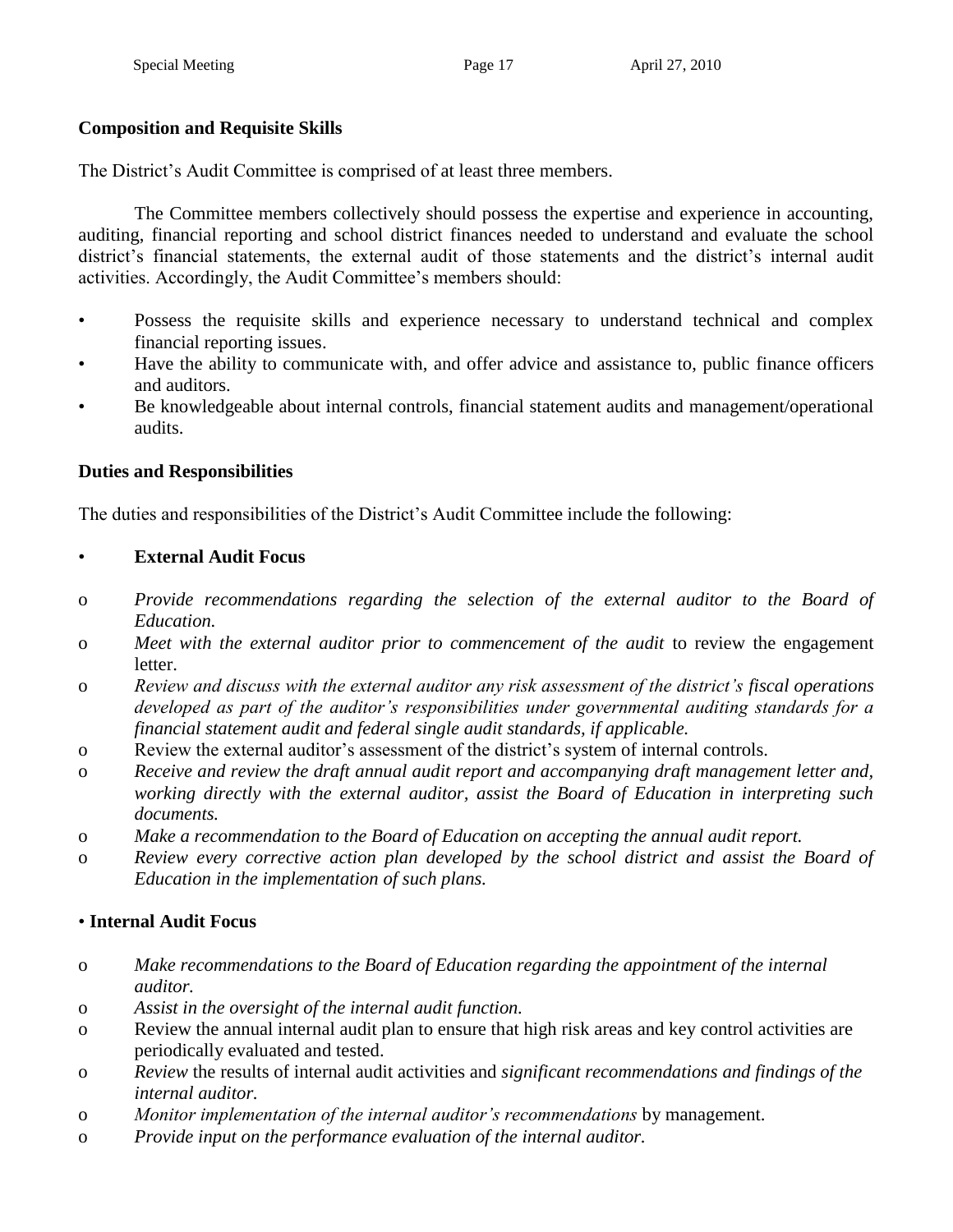# **Composition and Requisite Skills**

The District's Audit Committee is comprised of at least three members.

The Committee members collectively should possess the expertise and experience in accounting, auditing, financial reporting and school district finances needed to understand and evaluate the school district's financial statements, the external audit of those statements and the district's internal audit activities. Accordingly, the Audit Committee's members should:

- Possess the requisite skills and experience necessary to understand technical and complex financial reporting issues.
- Have the ability to communicate with, and offer advice and assistance to, public finance officers and auditors.
- Be knowledgeable about internal controls, financial statement audits and management/operational audits.

# **Duties and Responsibilities**

The duties and responsibilities of the District's Audit Committee include the following:

# • **External Audit Focus**

- o *Provide recommendations regarding the selection of the external auditor to the Board of Education.*
- o *Meet with the external auditor prior to commencement of the audit* to review the engagement letter.
- o *Review and discuss with the external auditor any risk assessment of the district's fiscal operations developed as part of the auditor's responsibilities under governmental auditing standards for a financial statement audit and federal single audit standards, if applicable.*
- o Review the external auditor's assessment of the district's system of internal controls.
- o *Receive and review the draft annual audit report and accompanying draft management letter and, working directly with the external auditor, assist the Board of Education in interpreting such documents.*
- o *Make a recommendation to the Board of Education on accepting the annual audit report.*
- o *Review every corrective action plan developed by the school district and assist the Board of Education in the implementation of such plans.*

# • **Internal Audit Focus**

- o *Make recommendations to the Board of Education regarding the appointment of the internal auditor.*
- o *Assist in the oversight of the internal audit function.*
- o Review the annual internal audit plan to ensure that high risk areas and key control activities are periodically evaluated and tested.
- o *Review* the results of internal audit activities and *significant recommendations and findings of the internal auditor.*
- o *Monitor implementation of the internal auditor's recommendations* by management.
- o *Provide input on the performance evaluation of the internal auditor.*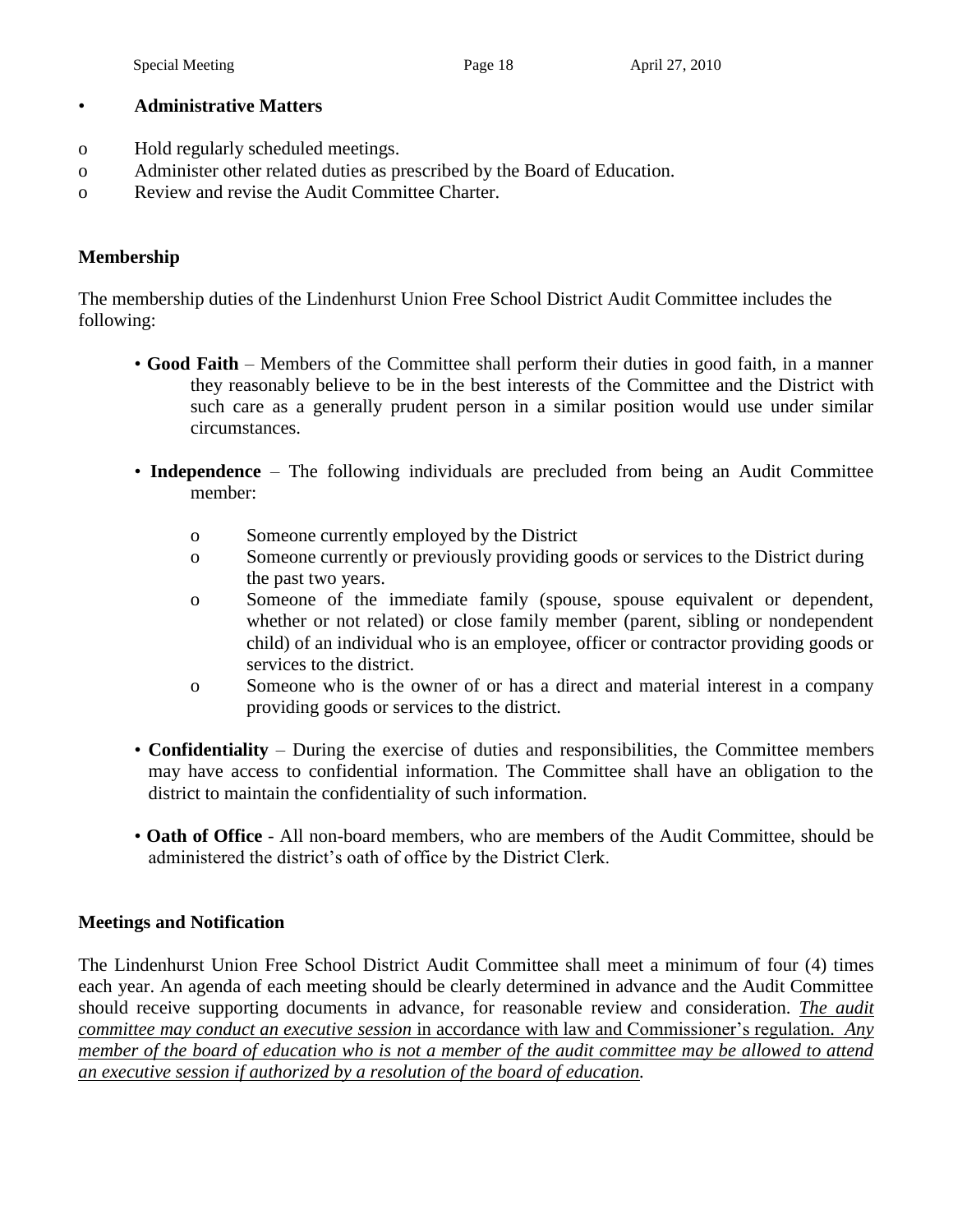#### • **Administrative Matters**

- o Hold regularly scheduled meetings.
- o Administer other related duties as prescribed by the Board of Education.
- o Review and revise the Audit Committee Charter.

### **Membership**

The membership duties of the Lindenhurst Union Free School District Audit Committee includes the following:

- **Good Faith** Members of the Committee shall perform their duties in good faith, in a manner they reasonably believe to be in the best interests of the Committee and the District with such care as a generally prudent person in a similar position would use under similar circumstances.
- **Independence** The following individuals are precluded from being an Audit Committee member:
	- o Someone currently employed by the District
	- o Someone currently or previously providing goods or services to the District during the past two years.
	- o Someone of the immediate family (spouse, spouse equivalent or dependent, whether or not related) or close family member (parent, sibling or nondependent child) of an individual who is an employee, officer or contractor providing goods or services to the district.
	- o Someone who is the owner of or has a direct and material interest in a company providing goods or services to the district.
- **Confidentiality** During the exercise of duties and responsibilities, the Committee members may have access to confidential information. The Committee shall have an obligation to the district to maintain the confidentiality of such information.
- **Oath of Office** All non-board members, who are members of the Audit Committee, should be administered the district's oath of office by the District Clerk.

### **Meetings and Notification**

The Lindenhurst Union Free School District Audit Committee shall meet a minimum of four (4) times each year. An agenda of each meeting should be clearly determined in advance and the Audit Committee should receive supporting documents in advance, for reasonable review and consideration. *The audit committee may conduct an executive session* in accordance with law and Commissioner's regulation*. Any member of the board of education who is not a member of the audit committee may be allowed to attend an executive session if authorized by a resolution of the board of education.*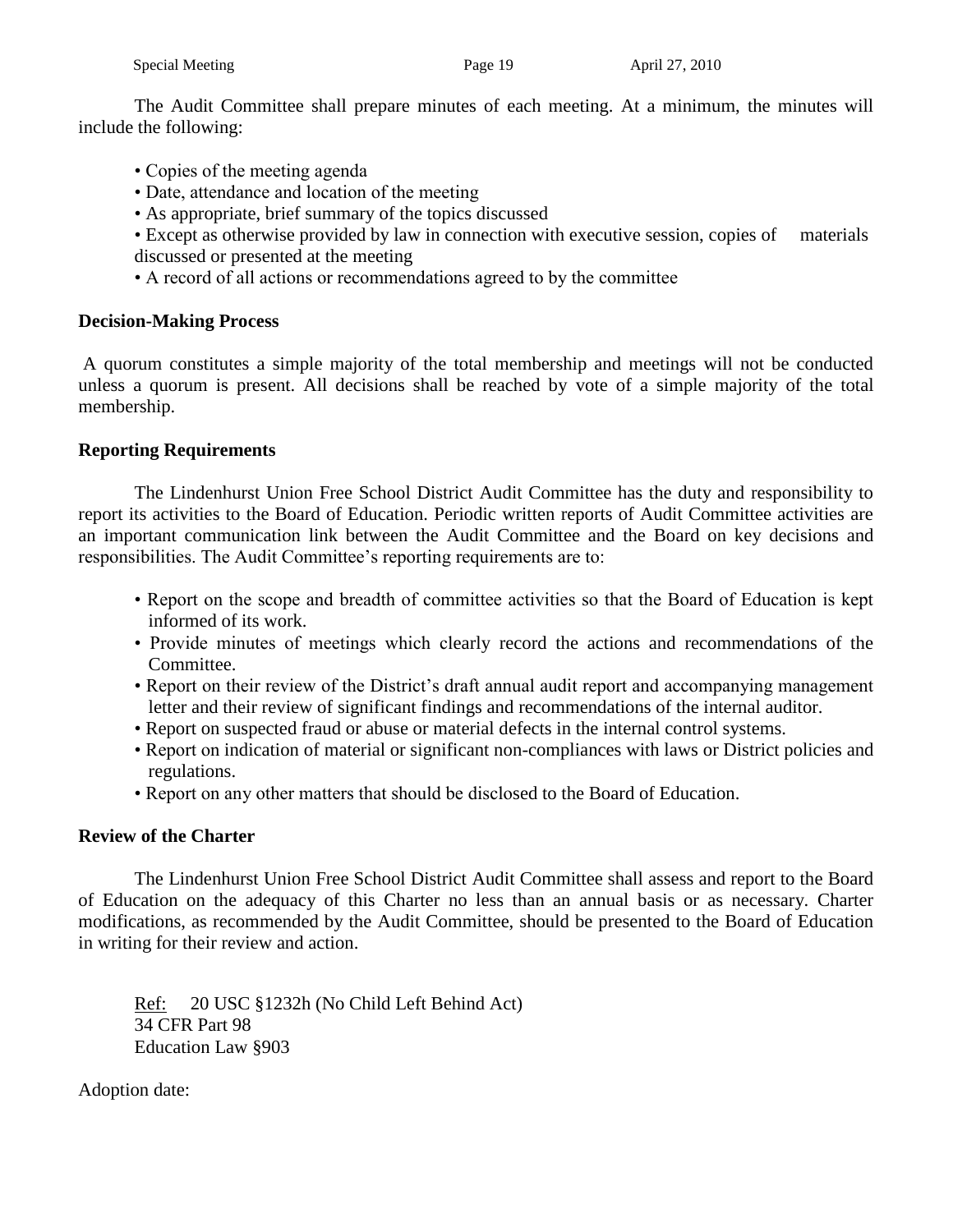The Audit Committee shall prepare minutes of each meeting. At a minimum, the minutes will include the following:

- Copies of the meeting agenda
- Date, attendance and location of the meeting
- As appropriate, brief summary of the topics discussed
- Except as otherwise provided by law in connection with executive session, copies of materials discussed or presented at the meeting
- A record of all actions or recommendations agreed to by the committee

### **Decision-Making Process**

A quorum constitutes a simple majority of the total membership and meetings will not be conducted unless a quorum is present. All decisions shall be reached by vote of a simple majority of the total membership.

### **Reporting Requirements**

The Lindenhurst Union Free School District Audit Committee has the duty and responsibility to report its activities to the Board of Education. Periodic written reports of Audit Committee activities are an important communication link between the Audit Committee and the Board on key decisions and responsibilities. The Audit Committee's reporting requirements are to:

- Report on the scope and breadth of committee activities so that the Board of Education is kept informed of its work.
- Provide minutes of meetings which clearly record the actions and recommendations of the Committee.
- Report on their review of the District's draft annual audit report and accompanying management letter and their review of significant findings and recommendations of the internal auditor.
- Report on suspected fraud or abuse or material defects in the internal control systems.
- Report on indication of material or significant non-compliances with laws or District policies and regulations.
- Report on any other matters that should be disclosed to the Board of Education.

### **Review of the Charter**

The Lindenhurst Union Free School District Audit Committee shall assess and report to the Board of Education on the adequacy of this Charter no less than an annual basis or as necessary. Charter modifications, as recommended by the Audit Committee, should be presented to the Board of Education in writing for their review and action.

Ref: 20 USC §1232h (No Child Left Behind Act) 34 CFR Part 98 Education Law §903

Adoption date: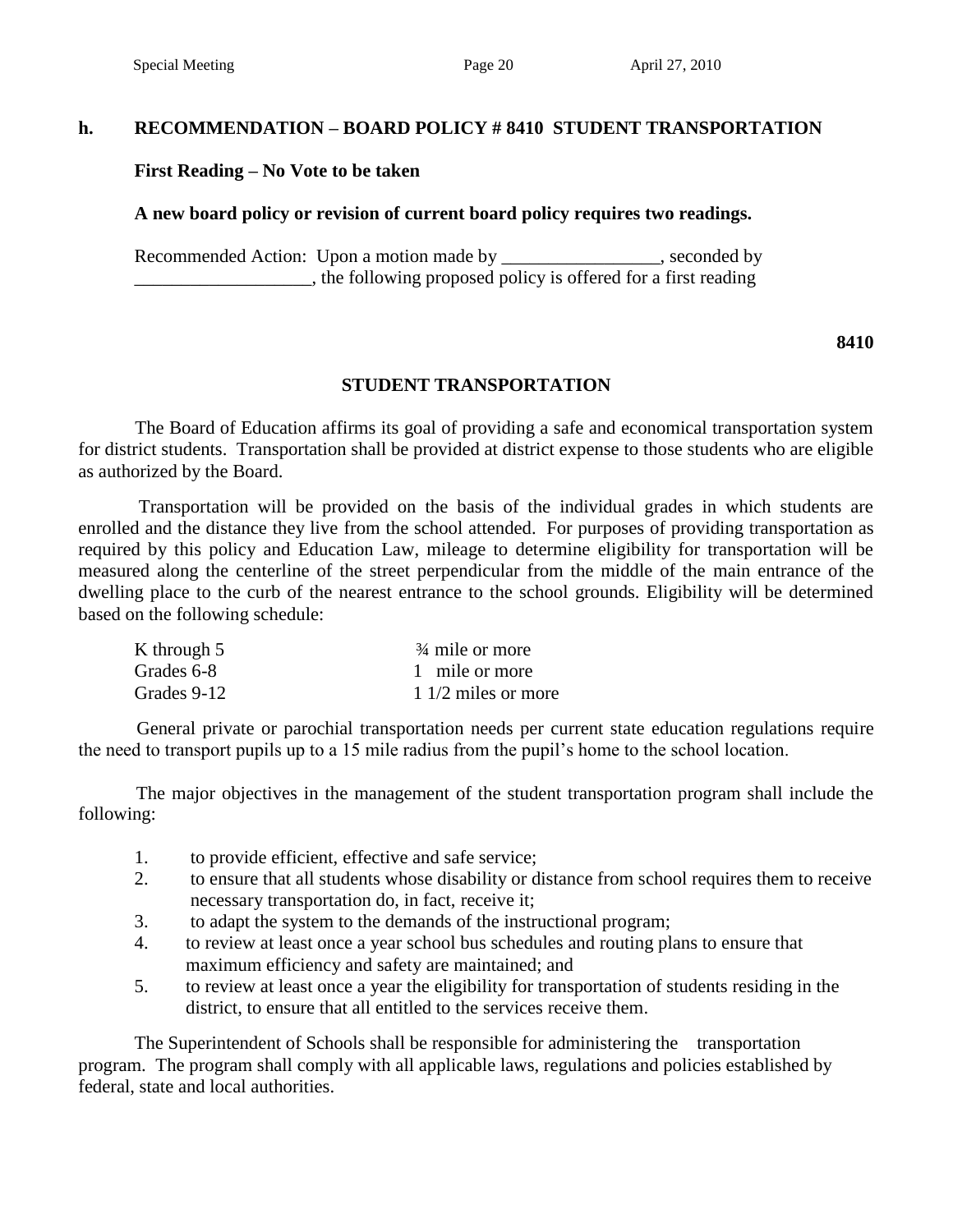#### **h. RECOMMENDATION – BOARD POLICY # 8410 STUDENT TRANSPORTATION**

#### **First Reading – No Vote to be taken**

#### **A new board policy or revision of current board policy requires two readings.**

Recommended Action: Upon a motion made by \_\_\_\_\_\_\_\_\_\_\_\_\_\_\_, seconded by \_\_\_\_\_\_\_\_\_\_\_\_\_\_\_\_\_\_\_, the following proposed policy is offered for a first reading

#### **8410**

#### **STUDENT TRANSPORTATION**

 The Board of Education affirms its goal of providing a safe and economical transportation system for district students. Transportation shall be provided at district expense to those students who are eligible as authorized by the Board.

 Transportation will be provided on the basis of the individual grades in which students are enrolled and the distance they live from the school attended. For purposes of providing transportation as required by this policy and Education Law, mileage to determine eligibility for transportation will be measured along the centerline of the street perpendicular from the middle of the main entrance of the dwelling place to the curb of the nearest entrance to the school grounds. Eligibility will be determined based on the following schedule:

| K through 5 | $\frac{3}{4}$ mile or more |
|-------------|----------------------------|
| Grades 6-8  | 1 mile or more             |
| Grades 9-12 | $1/2$ miles or more        |

 General private or parochial transportation needs per current state education regulations require the need to transport pupils up to a 15 mile radius from the pupil's home to the school location.

 The major objectives in the management of the student transportation program shall include the following:

- 1. to provide efficient, effective and safe service;
- 2. to ensure that all students whose disability or distance from school requires them to receive necessary transportation do, in fact, receive it;
- 3. to adapt the system to the demands of the instructional program;
- 4. to review at least once a year school bus schedules and routing plans to ensure that maximum efficiency and safety are maintained; and
- 5. to review at least once a year the eligibility for transportation of students residing in the district, to ensure that all entitled to the services receive them.

 The Superintendent of Schools shall be responsible for administering the transportation program. The program shall comply with all applicable laws, regulations and policies established by federal, state and local authorities.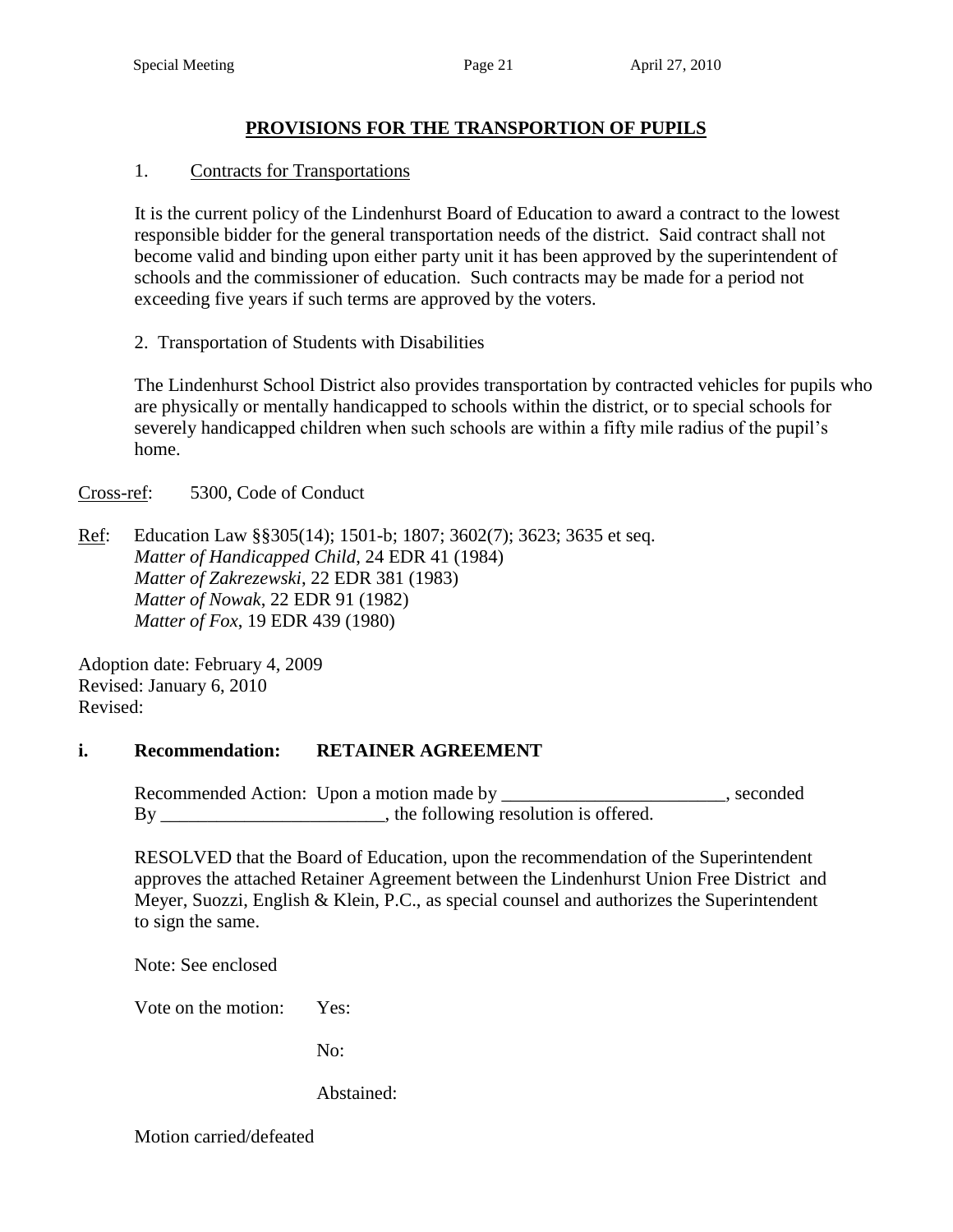## **PROVISIONS FOR THE TRANSPORTION OF PUPILS**

### 1. Contracts for Transportations

 It is the current policy of the Lindenhurst Board of Education to award a contract to the lowest responsible bidder for the general transportation needs of the district. Said contract shall not become valid and binding upon either party unit it has been approved by the superintendent of schools and the commissioner of education. Such contracts may be made for a period not exceeding five years if such terms are approved by the voters.

2. Transportation of Students with Disabilities

 The Lindenhurst School District also provides transportation by contracted vehicles for pupils who are physically or mentally handicapped to schools within the district, or to special schools for severely handicapped children when such schools are within a fifty mile radius of the pupil's home.

Cross-ref: 5300, Code of Conduct

Ref: Education Law §§305(14); 1501-b; 1807; 3602(7); 3623; 3635 et seq. *Matter of Handicapped Child*, 24 EDR 41 (1984) *Matter of Zakrezewski*, 22 EDR 381 (1983) *Matter of Nowak*, 22 EDR 91 (1982) *Matter of Fox*, 19 EDR 439 (1980)

Adoption date: February 4, 2009 Revised: January 6, 2010 Revised:

### **i. Recommendation: RETAINER AGREEMENT**

Recommended Action: Upon a motion made by \_\_\_\_\_\_\_\_\_\_\_\_\_\_\_\_\_\_\_\_\_\_\_, seconded By the following resolution is offered.

RESOLVED that the Board of Education, upon the recommendation of the Superintendent approves the attached Retainer Agreement between the Lindenhurst Union Free District and Meyer, Suozzi, English & Klein, P.C., as special counsel and authorizes the Superintendent to sign the same.

Note: See enclosed

Vote on the motion: Yes:

No:

Abstained: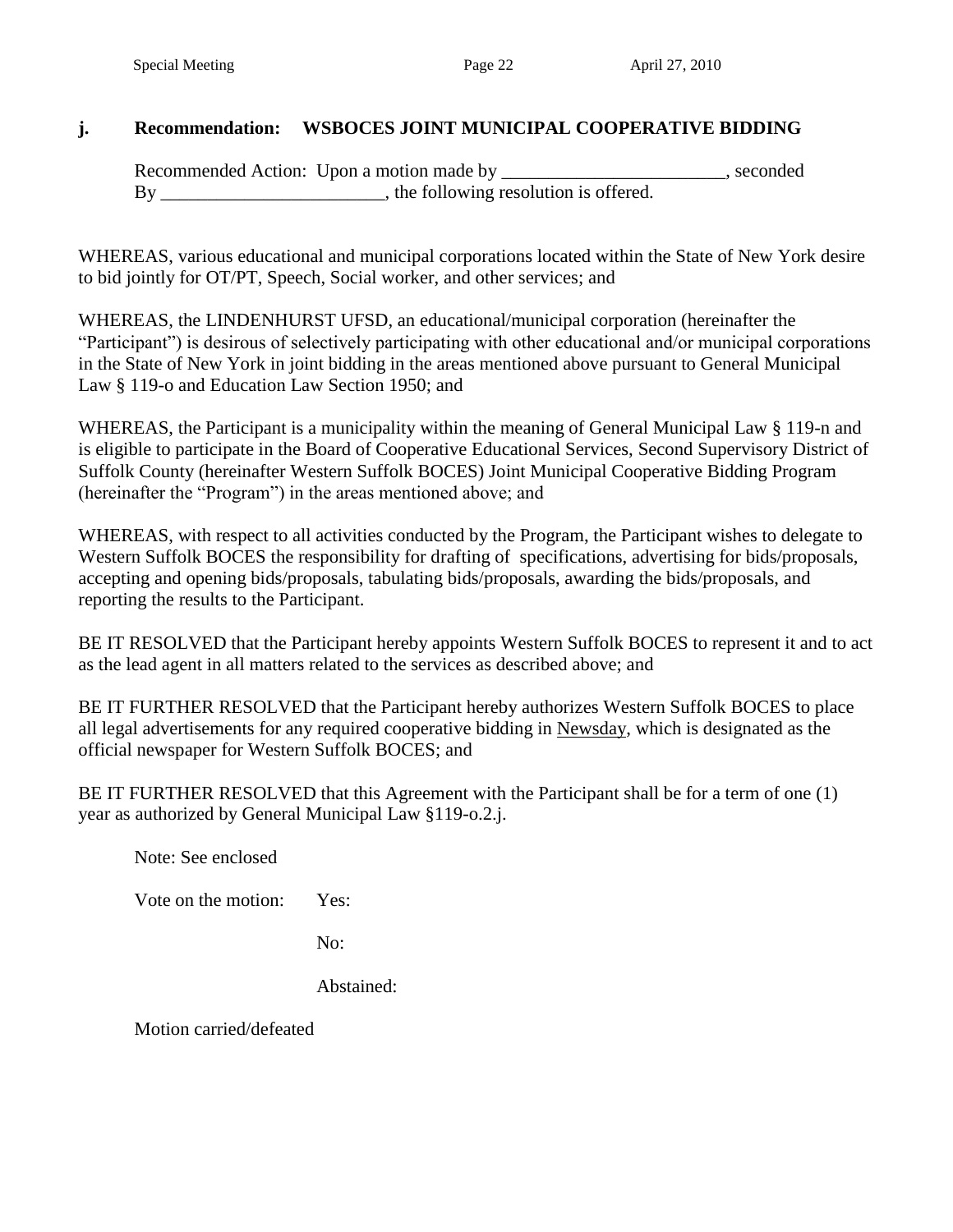### **j. Recommendation: WSBOCES JOINT MUNICIPAL COOPERATIVE BIDDING**

Recommended Action: Upon a motion made by \_\_\_\_\_\_\_\_\_\_\_\_\_\_\_\_\_\_\_\_, seconded By \_\_\_\_\_\_\_\_\_\_\_\_\_\_\_\_\_\_\_\_\_\_, the following resolution is offered.

WHEREAS, various educational and municipal corporations located within the State of New York desire to bid jointly for OT/PT, Speech, Social worker, and other services; and

WHEREAS, the LINDENHURST UFSD, an educational/municipal corporation (hereinafter the "Participant") is desirous of selectively participating with other educational and/or municipal corporations in the State of New York in joint bidding in the areas mentioned above pursuant to General Municipal Law § 119-o and Education Law Section 1950; and

WHEREAS, the Participant is a municipality within the meaning of General Municipal Law § 119-n and is eligible to participate in the Board of Cooperative Educational Services, Second Supervisory District of Suffolk County (hereinafter Western Suffolk BOCES) Joint Municipal Cooperative Bidding Program (hereinafter the "Program") in the areas mentioned above; and

WHEREAS, with respect to all activities conducted by the Program, the Participant wishes to delegate to Western Suffolk BOCES the responsibility for drafting of specifications, advertising for bids/proposals, accepting and opening bids/proposals, tabulating bids/proposals, awarding the bids/proposals, and reporting the results to the Participant.

BE IT RESOLVED that the Participant hereby appoints Western Suffolk BOCES to represent it and to act as the lead agent in all matters related to the services as described above; and

BE IT FURTHER RESOLVED that the Participant hereby authorizes Western Suffolk BOCES to place all legal advertisements for any required cooperative bidding in Newsday, which is designated as the official newspaper for Western Suffolk BOCES; and

BE IT FURTHER RESOLVED that this Agreement with the Participant shall be for a term of one (1) year as authorized by General Municipal Law §119-o.2.j.

Note: See enclosed

Vote on the motion: Yes:

No:

Abstained: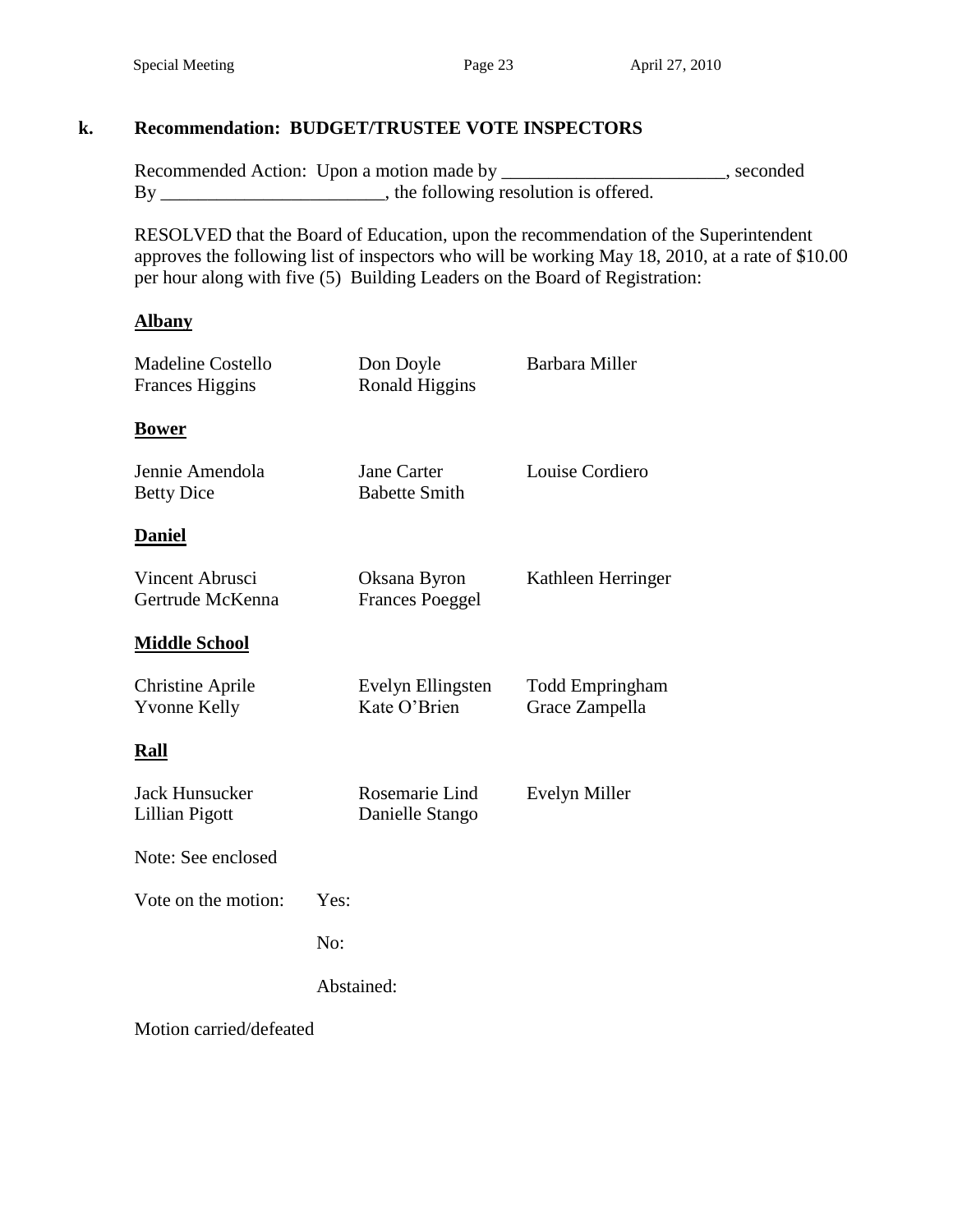## **k. Recommendation: BUDGET/TRUSTEE VOTE INSPECTORS**

Recommended Action: Upon a motion made by \_\_\_\_\_\_\_\_\_\_\_\_\_\_\_\_\_\_\_\_\_\_\_, seconded By \_\_\_\_\_\_\_\_\_\_\_\_\_\_\_\_\_\_\_\_\_\_\_\_\_\_\_\_\_\_\_, the following resolution is offered.

RESOLVED that the Board of Education, upon the recommendation of the Superintendent approves the following list of inspectors who will be working May 18, 2010, at a rate of \$10.00 per hour along with five (5) Building Leaders on the Board of Registration:

#### **Albany**

| <b>Madeline Costello</b><br><b>Frances Higgins</b> |      | Don Doyle<br><b>Ronald Higgins</b>     | Barbara Miller                           |
|----------------------------------------------------|------|----------------------------------------|------------------------------------------|
| <b>Bower</b>                                       |      |                                        |                                          |
| Jennie Amendola<br><b>Betty Dice</b>               |      | Jane Carter<br><b>Babette Smith</b>    | Louise Cordiero                          |
| <u>Daniel</u>                                      |      |                                        |                                          |
| Vincent Abrusci<br>Gertrude McKenna                |      | Oksana Byron<br><b>Frances Poeggel</b> | Kathleen Herringer                       |
| <u> Middle School</u>                              |      |                                        |                                          |
| <b>Christine Aprile</b><br><b>Yvonne Kelly</b>     |      | Evelyn Ellingsten<br>Kate O'Brien      | <b>Todd Empringham</b><br>Grace Zampella |
| <u>Rall</u>                                        |      |                                        |                                          |
| <b>Jack Hunsucker</b><br>Lillian Pigott            |      | Rosemarie Lind<br>Danielle Stango      | Evelyn Miller                            |
| Note: See enclosed                                 |      |                                        |                                          |
| Vote on the motion:                                | Yes: |                                        |                                          |
|                                                    | No:  |                                        |                                          |
|                                                    |      | Abstained:                             |                                          |
| Motion carried/defeated                            |      |                                        |                                          |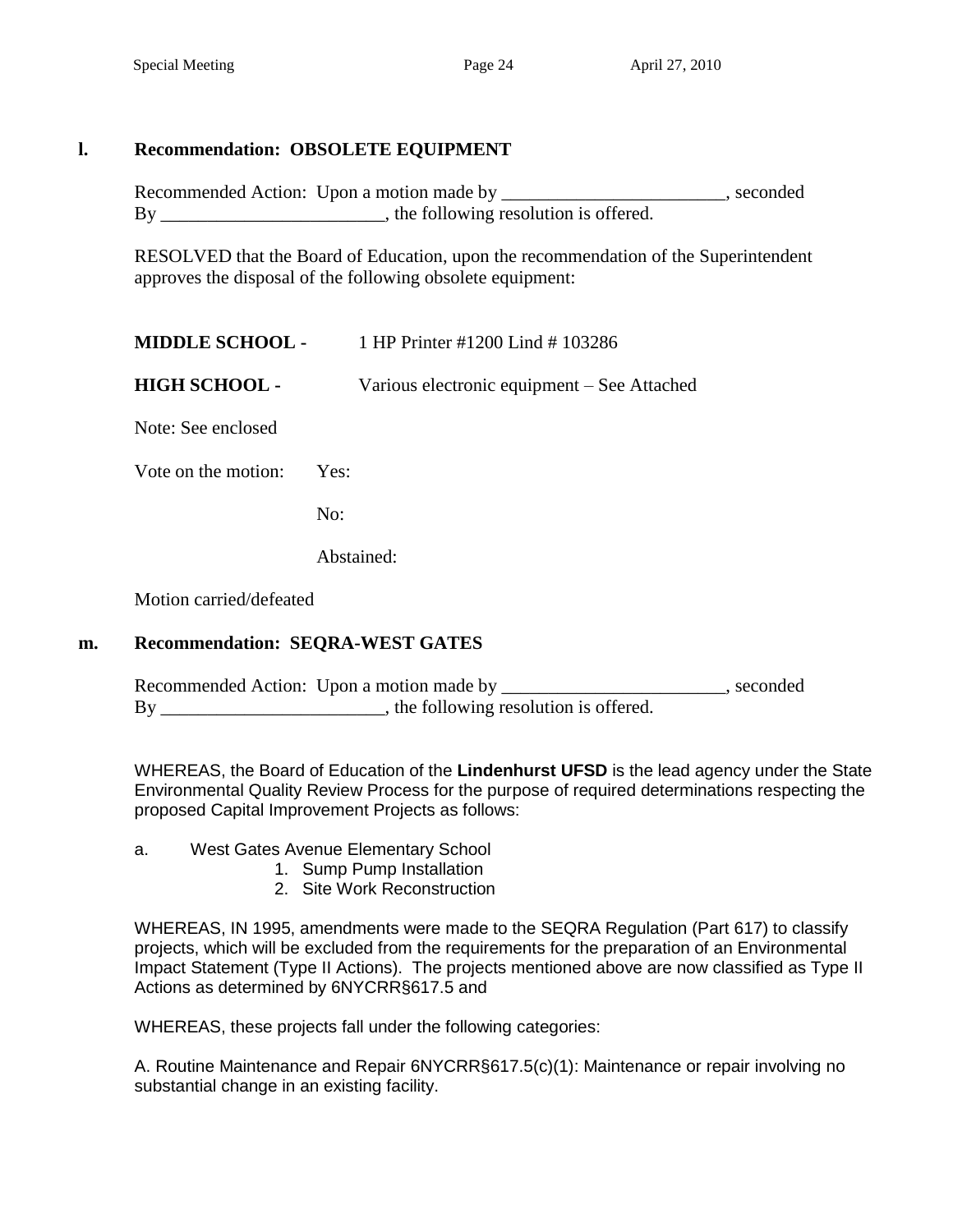# **l. Recommendation: OBSOLETE EQUIPMENT**

Recommended Action: Upon a motion made by \_\_\_\_\_\_\_\_\_\_\_\_\_\_\_\_\_\_\_\_\_\_\_, seconded By \_\_\_\_\_\_\_\_\_\_\_\_\_\_\_\_\_\_\_\_\_\_\_, the following resolution is offered.

RESOLVED that the Board of Education, upon the recommendation of the Superintendent approves the disposal of the following obsolete equipment:

| <b>MIDDLE SCHOOL -</b> | 1 HP Printer #1200 Lind #103286 |  |
|------------------------|---------------------------------|--|
|                        |                                 |  |

**HIGH SCHOOL -** Various electronic equipment – See Attached

Note: See enclosed

Vote on the motion: Yes:

No:

Abstained:

Motion carried/defeated

### **m. Recommendation: SEQRA-WEST GATES**

|    | Recommended Action: Upon a motion made by | . seconded |
|----|-------------------------------------------|------------|
| By | , the following resolution is offered.    |            |

WHEREAS, the Board of Education of the **Lindenhurst UFSD** is the lead agency under the State Environmental Quality Review Process for the purpose of required determinations respecting the proposed Capital Improvement Projects as follows:

a. West Gates Avenue Elementary School

- 1. Sump Pump Installation
- 2. Site Work Reconstruction

WHEREAS, IN 1995, amendments were made to the SEQRA Regulation (Part 617) to classify projects, which will be excluded from the requirements for the preparation of an Environmental Impact Statement (Type II Actions). The projects mentioned above are now classified as Type II Actions as determined by 6NYCRR§617.5 and

WHEREAS, these projects fall under the following categories:

A. Routine Maintenance and Repair 6NYCRR§617.5(c)(1): Maintenance or repair involving no substantial change in an existing facility.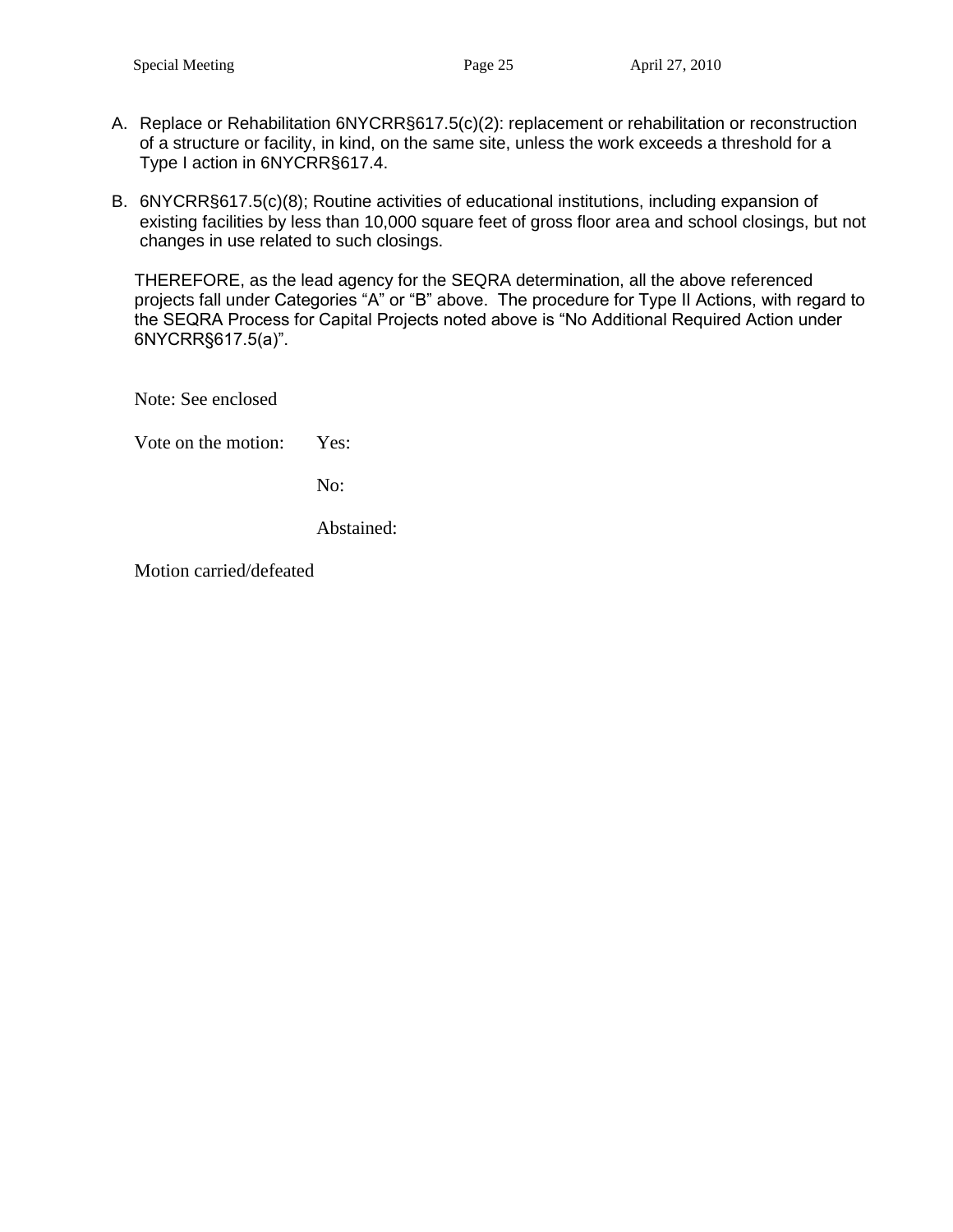- A. Replace or Rehabilitation 6NYCRR§617.5(c)(2): replacement or rehabilitation or reconstruction of a structure or facility, in kind, on the same site, unless the work exceeds a threshold for a Type I action in 6NYCRR§617.4.
- B. 6NYCRR§617.5(c)(8); Routine activities of educational institutions, including expansion of existing facilities by less than 10,000 square feet of gross floor area and school closings, but not changes in use related to such closings.

THEREFORE, as the lead agency for the SEQRA determination, all the above referenced projects fall under Categories "A" or "B" above. The procedure for Type II Actions, with regard to the SEQRA Process for Capital Projects noted above is "No Additional Required Action under 6NYCRR§617.5(a)".

Note: See enclosed

Vote on the motion: Yes:

No:

Abstained: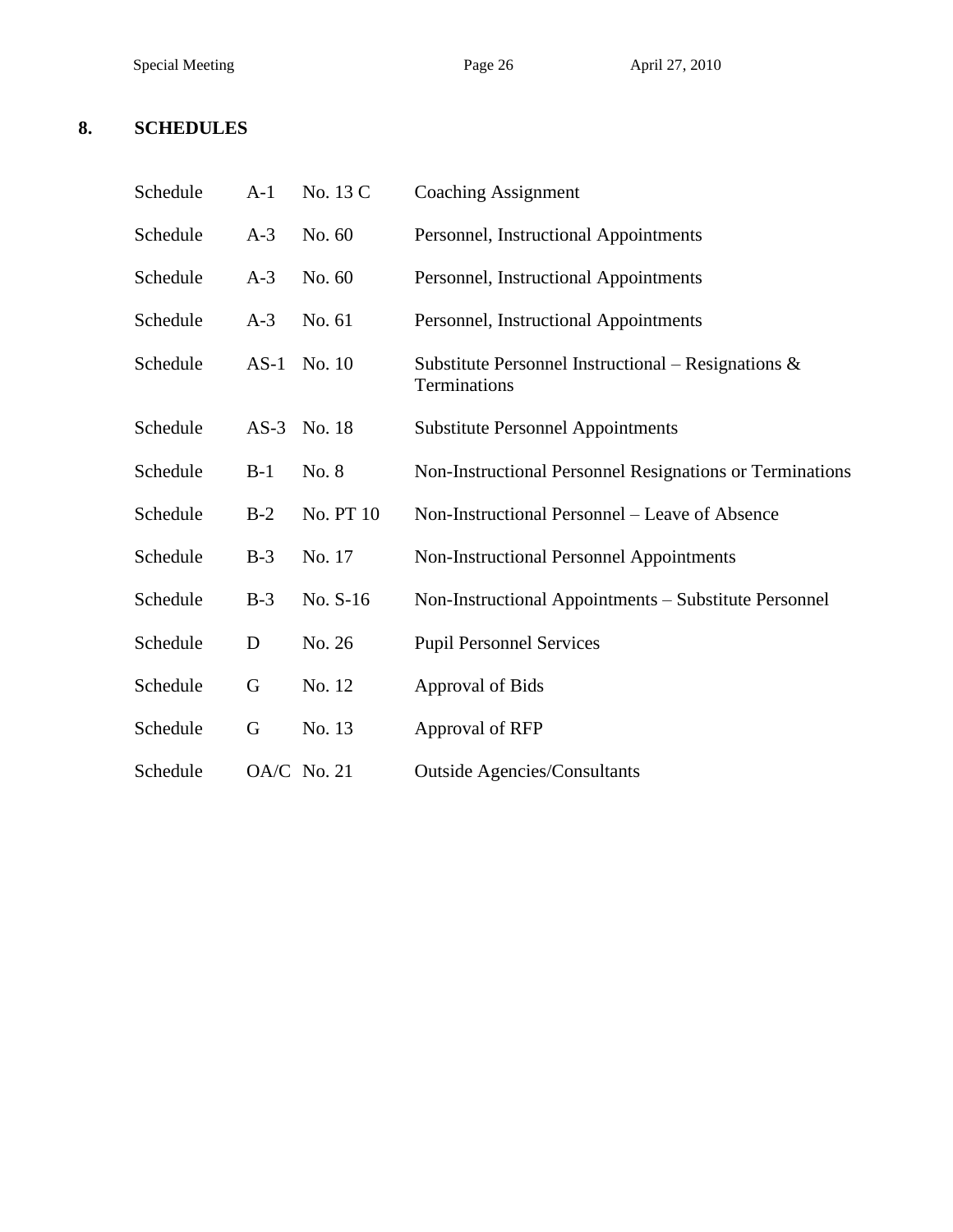#### **8. SCHEDULES**

| Schedule | $A-1$  | No. 13 C    | <b>Coaching Assignment</b>                                             |
|----------|--------|-------------|------------------------------------------------------------------------|
| Schedule | $A-3$  | No. 60      | Personnel, Instructional Appointments                                  |
| Schedule | $A-3$  | No. 60      | Personnel, Instructional Appointments                                  |
| Schedule | $A-3$  | No. 61      | Personnel, Instructional Appointments                                  |
| Schedule | $AS-1$ | No. 10      | Substitute Personnel Instructional – Resignations $\&$<br>Terminations |
| Schedule | $AS-3$ | No. 18      | <b>Substitute Personnel Appointments</b>                               |
| Schedule | $B-1$  | No. 8       | Non-Instructional Personnel Resignations or Terminations               |
| Schedule | $B-2$  | No. PT 10   | Non-Instructional Personnel – Leave of Absence                         |
| Schedule | $B-3$  | No. 17      | <b>Non-Instructional Personnel Appointments</b>                        |
| Schedule | $B-3$  | No. S-16    | Non-Instructional Appointments - Substitute Personnel                  |
| Schedule | D      | No. 26      | <b>Pupil Personnel Services</b>                                        |
| Schedule | G      | No. 12      | Approval of Bids                                                       |
| Schedule | G      | No. 13      | Approval of RFP                                                        |
| Schedule |        | OA/C No. 21 | <b>Outside Agencies/Consultants</b>                                    |